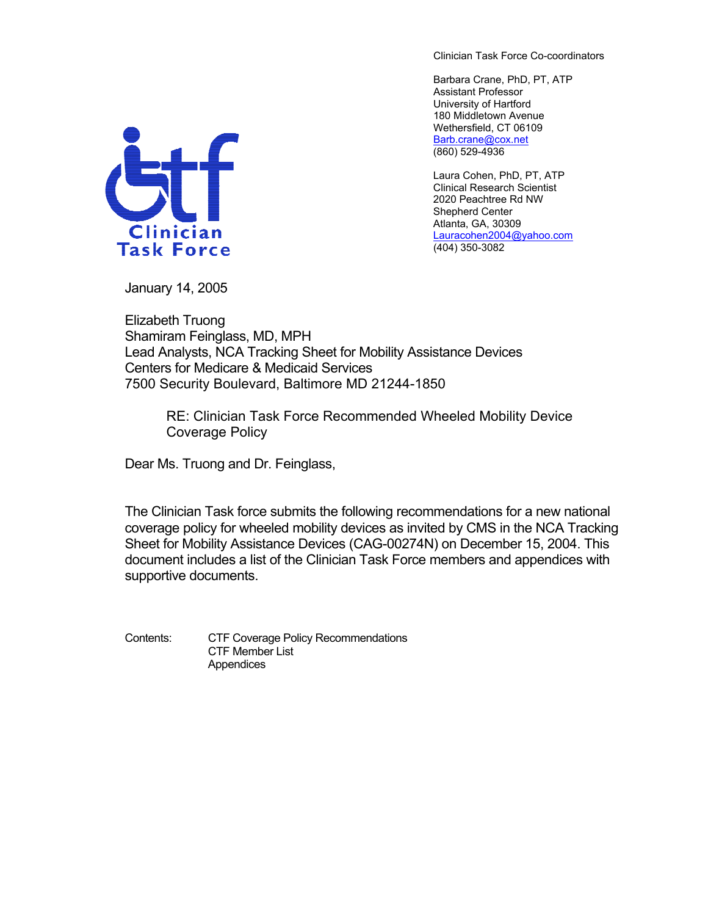Clinician Task Force Co-coordinators

Barbara Crane, PhD, PT, ATP Assistant Professor University of Hartford 180 Middletown Avenue Wethersfield, CT 06109 [Barb.crane@cox.net](mailto:Barb.crane@cox.net) (860) 529-4936

Laura Cohen, PhD, PT, ATP Clinical Research Scientist 2020 Peachtree Rd NW Shepherd Center Atlanta, GA, 30309 [Lauracohen2004@yahoo.com](mailto:Lauracohen2004@yahoo.com) (404) 350-3082



January 14, 2005

Elizabeth Truong Shamiram Feinglass, MD, MPH Lead Analysts, NCA Tracking Sheet for Mobility Assistance Devices Centers for Medicare & Medicaid Services 7500 Security Boulevard, Baltimore MD 21244-1850

> RE: Clinician Task Force Recommended Wheeled Mobility Device Coverage Policy

Dear Ms. Truong and Dr. Feinglass,

The Clinician Task force submits the following recommendations for a new national coverage policy for wheeled mobility devices as invited by CMS in the NCA Tracking Sheet for Mobility Assistance Devices (CAG-00274N) on December 15, 2004. This document includes a list of the Clinician Task Force members and appendices with supportive documents.

Contents: CTF Coverage Policy Recommendations CTF Member List Appendices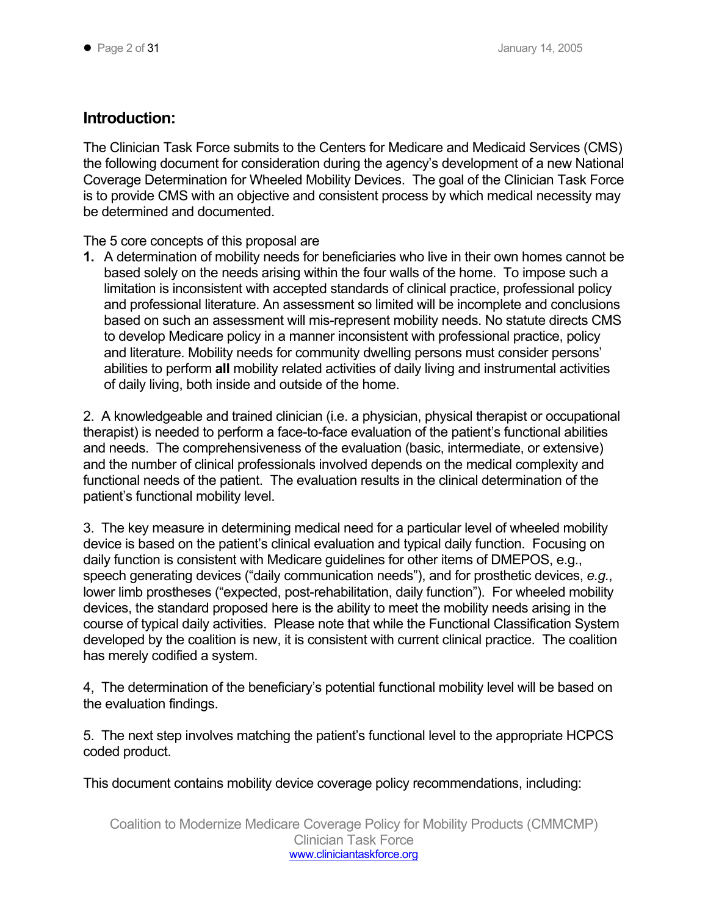## **Introduction:**

The Clinician Task Force submits to the Centers for Medicare and Medicaid Services (CMS) the following document for consideration during the agency's development of a new National Coverage Determination for Wheeled Mobility Devices. The goal of the Clinician Task Force is to provide CMS with an objective and consistent process by which medical necessity may be determined and documented.

The 5 core concepts of this proposal are

**1.** A determination of mobility needs for beneficiaries who live in their own homes cannot be based solely on the needs arising within the four walls of the home. To impose such a limitation is inconsistent with accepted standards of clinical practice, professional policy and professional literature. An assessment so limited will be incomplete and conclusions based on such an assessment will mis-represent mobility needs. No statute directs CMS to develop Medicare policy in a manner inconsistent with professional practice, policy and literature. Mobility needs for community dwelling persons must consider persons' abilities to perform **all** mobility related activities of daily living and instrumental activities of daily living, both inside and outside of the home.

2. A knowledgeable and trained clinician (i.e. a physician, physical therapist or occupational therapist) is needed to perform a face-to-face evaluation of the patient's functional abilities and needs. The comprehensiveness of the evaluation (basic, intermediate, or extensive) and the number of clinical professionals involved depends on the medical complexity and functional needs of the patient. The evaluation results in the clinical determination of the patient's functional mobility level.

3. The key measure in determining medical need for a particular level of wheeled mobility device is based on the patient's clinical evaluation and typical daily function. Focusing on daily function is consistent with Medicare guidelines for other items of DMEPOS, e.g., speech generating devices ("daily communication needs"), and for prosthetic devices, *e.g.*, lower limb prostheses ("expected, post-rehabilitation, daily function"). For wheeled mobility devices, the standard proposed here is the ability to meet the mobility needs arising in the course of typical daily activities. Please note that while the Functional Classification System developed by the coalition is new, it is consistent with current clinical practice. The coalition has merely codified a system.

4, The determination of the beneficiary's potential functional mobility level will be based on the evaluation findings.

5. The next step involves matching the patient's functional level to the appropriate HCPCS coded product.

This document contains mobility device coverage policy recommendations, including: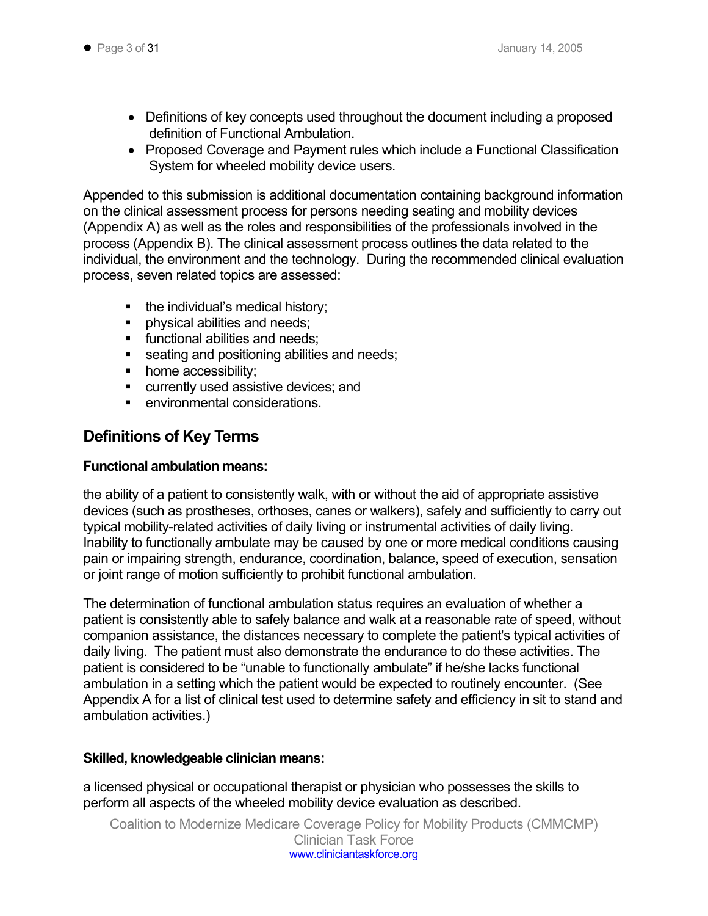- Definitions of key concepts used throughout the document including a proposed definition of Functional Ambulation.
- Proposed Coverage and Payment rules which include a Functional Classification System for wheeled mobility device users.

Appended to this submission is additional documentation containing background information on the clinical assessment process for persons needing seating and mobility devices (Appendix A) as well as the roles and responsibilities of the professionals involved in the process (Appendix B). The clinical assessment process outlines the data related to the individual, the environment and the technology. During the recommended clinical evaluation process, seven related topics are assessed:

- the individual's medical history;
- **physical abilities and needs;**
- **functional abilities and needs:**
- seating and positioning abilities and needs;
- home accessibility;
- **EXECUTE CULTER IT USES** assistive devices; and
- environmental considerations.

## **Definitions of Key Terms**

## **Functional ambulation means:**

the ability of a patient to consistently walk, with or without the aid of appropriate assistive devices (such as prostheses, orthoses, canes or walkers), safely and sufficiently to carry out typical mobility-related activities of daily living or instrumental activities of daily living. Inability to functionally ambulate may be caused by one or more medical conditions causing pain or impairing strength, endurance, coordination, balance, speed of execution, sensation or joint range of motion sufficiently to prohibit functional ambulation.

The determination of functional ambulation status requires an evaluation of whether a patient is consistently able to safely balance and walk at a reasonable rate of speed, without companion assistance, the distances necessary to complete the patient's typical activities of daily living. The patient must also demonstrate the endurance to do these activities. The patient is considered to be "unable to functionally ambulate" if he/she lacks functional ambulation in a setting which the patient would be expected to routinely encounter. (See Appendix A for a list of clinical test used to determine safety and efficiency in sit to stand and ambulation activities.)

## **Skilled, knowledgeable clinician means:**

a licensed physical or occupational therapist or physician who possesses the skills to perform all aspects of the wheeled mobility device evaluation as described.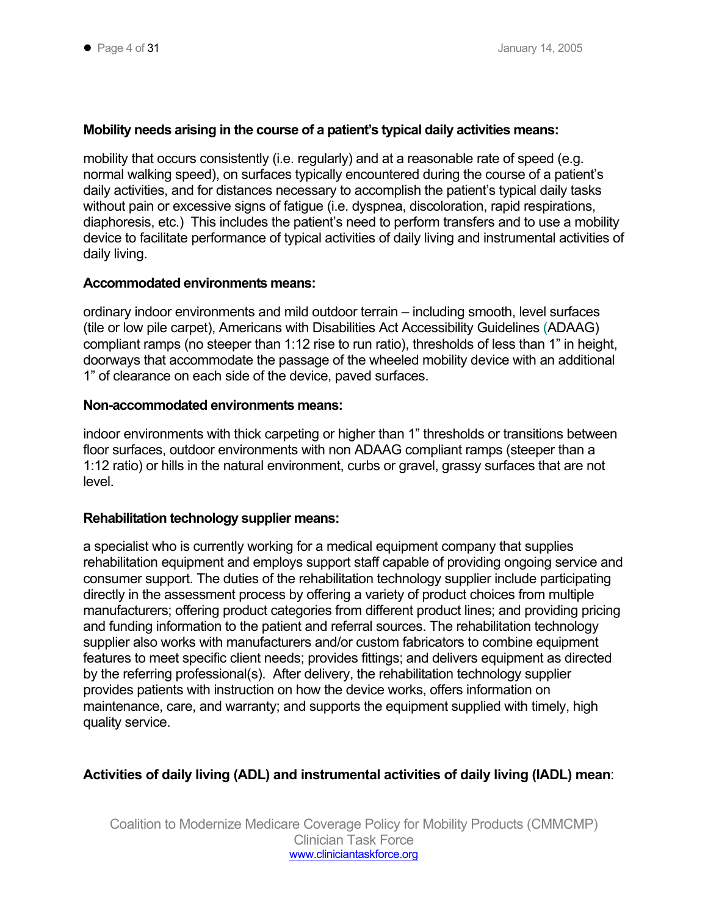## **Mobility needs arising in the course of a patient's typical daily activities means:**

mobility that occurs consistently (i.e. regularly) and at a reasonable rate of speed (e.g. normal walking speed), on surfaces typically encountered during the course of a patient's daily activities, and for distances necessary to accomplish the patient's typical daily tasks without pain or excessive signs of fatigue (i.e. dyspnea, discoloration, rapid respirations, diaphoresis, etc.) This includes the patient's need to perform transfers and to use a mobility device to facilitate performance of typical activities of daily living and instrumental activities of daily living.

## **Accommodated environments means:**

ordinary indoor environments and mild outdoor terrain – including smooth, level surfaces (tile or low pile carpet), Americans with Disabilities Act Accessibility Guidelines (ADAAG) compliant ramps (no steeper than 1:12 rise to run ratio), thresholds of less than 1" in height, doorways that accommodate the passage of the wheeled mobility device with an additional 1" of clearance on each side of the device, paved surfaces.

## **Non-accommodated environments means:**

indoor environments with thick carpeting or higher than 1" thresholds or transitions between floor surfaces, outdoor environments with non ADAAG compliant ramps (steeper than a 1:12 ratio) or hills in the natural environment, curbs or gravel, grassy surfaces that are not level.

### **Rehabilitation technology supplier means:**

a specialist who is currently working for a medical equipment company that supplies rehabilitation equipment and employs support staff capable of providing ongoing service and consumer support. The duties of the rehabilitation technology supplier include participating directly in the assessment process by offering a variety of product choices from multiple manufacturers; offering product categories from different product lines; and providing pricing and funding information to the patient and referral sources. The rehabilitation technology supplier also works with manufacturers and/or custom fabricators to combine equipment features to meet specific client needs; provides fittings; and delivers equipment as directed by the referring professional(s). After delivery, the rehabilitation technology supplier provides patients with instruction on how the device works, offers information on maintenance, care, and warranty; and supports the equipment supplied with timely, high quality service.

## **Activities of daily living (ADL) and instrumental activities of daily living (IADL) mean**: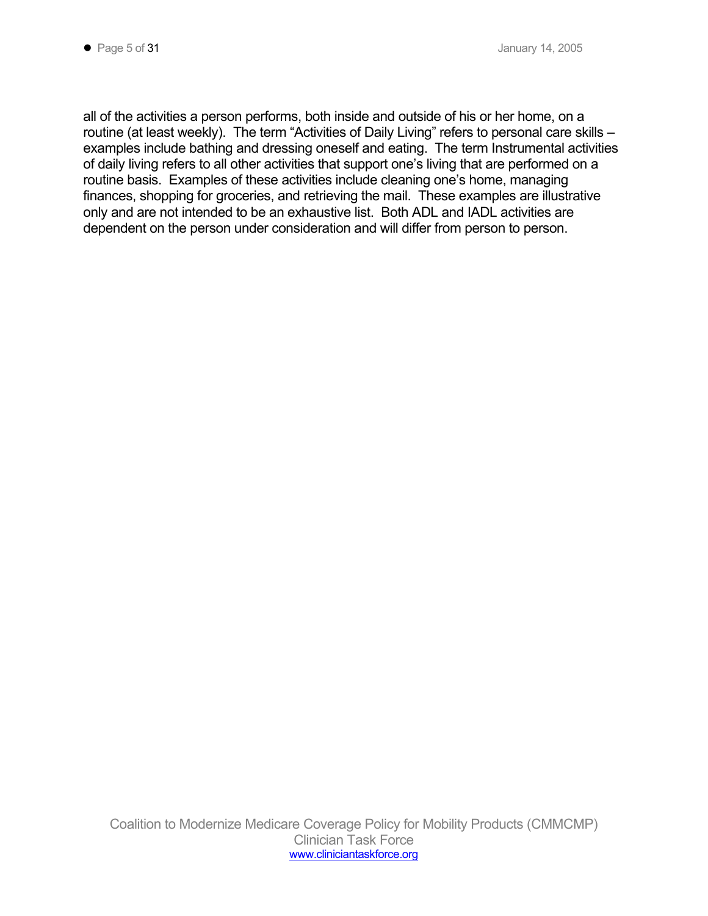all of the activities a person performs, both inside and outside of his or her home, on a routine (at least weekly). The term "Activities of Daily Living" refers to personal care skills – examples include bathing and dressing oneself and eating. The term Instrumental activities of daily living refers to all other activities that support one's living that are performed on a routine basis. Examples of these activities include cleaning one's home, managing finances, shopping for groceries, and retrieving the mail. These examples are illustrative only and are not intended to be an exhaustive list. Both ADL and IADL activities are dependent on the person under consideration and will differ from person to person.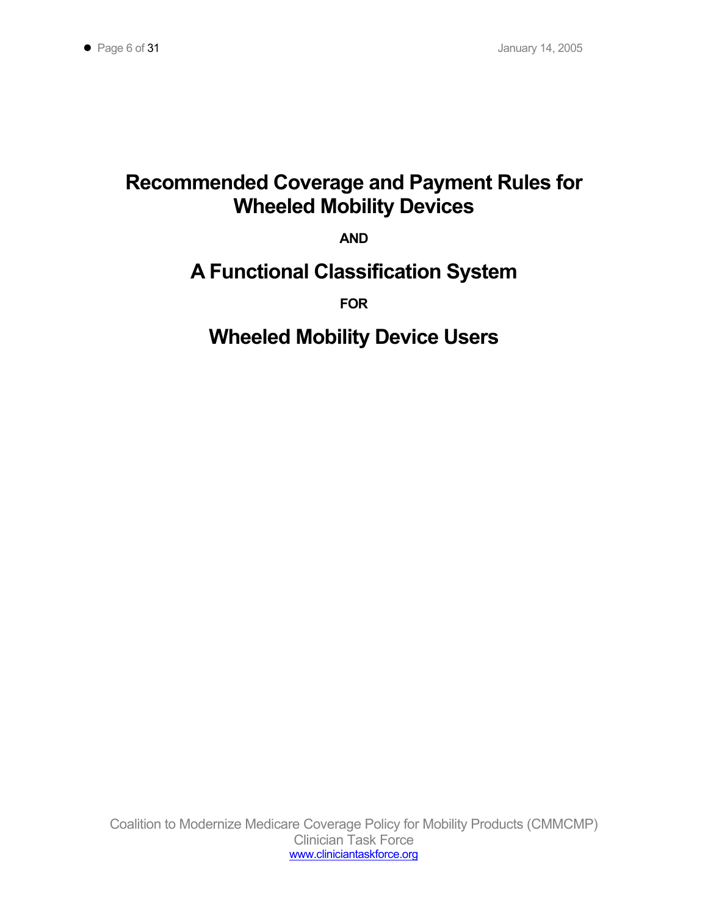# **Recommended Coverage and Payment Rules for Wheeled Mobility Devices**

**AND** 

# **A Functional Classification System**

**FOR** 

# **Wheeled Mobility Device Users**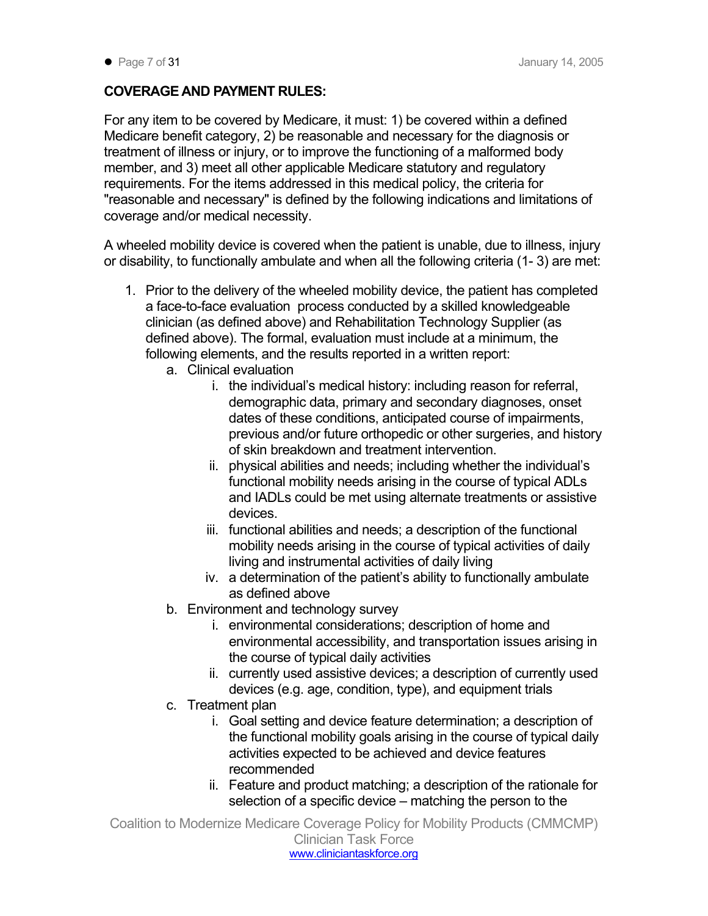## **COVERAGE AND PAYMENT RULES:**

For any item to be covered by Medicare, it must: 1) be covered within a defined Medicare benefit category, 2) be reasonable and necessary for the diagnosis or treatment of illness or injury, or to improve the functioning of a malformed body member, and 3) meet all other applicable Medicare statutory and regulatory requirements. For the items addressed in this medical policy, the criteria for "reasonable and necessary" is defined by the following indications and limitations of coverage and/or medical necessity.

A wheeled mobility device is covered when the patient is unable, due to illness, injury or disability, to functionally ambulate and when all the following criteria (1- 3) are met:

- 1. Prior to the delivery of the wheeled mobility device, the patient has completed a face-to-face evaluation process conducted by a skilled knowledgeable clinician (as defined above) and Rehabilitation Technology Supplier (as defined above). The formal, evaluation must include at a minimum, the following elements, and the results reported in a written report:
	- a. Clinical evaluation
		- i. the individual's medical history: including reason for referral, demographic data, primary and secondary diagnoses, onset dates of these conditions, anticipated course of impairments, previous and/or future orthopedic or other surgeries, and history of skin breakdown and treatment intervention.
		- ii. physical abilities and needs; including whether the individual's functional mobility needs arising in the course of typical ADLs and IADLs could be met using alternate treatments or assistive devices.
		- iii. functional abilities and needs; a description of the functional mobility needs arising in the course of typical activities of daily living and instrumental activities of daily living
		- iv. a determination of the patient's ability to functionally ambulate as defined above
	- b. Environment and technology survey
		- i. environmental considerations; description of home and environmental accessibility, and transportation issues arising in the course of typical daily activities
		- ii. currently used assistive devices; a description of currently used devices (e.g. age, condition, type), and equipment trials
	- c. Treatment plan
		- i. Goal setting and device feature determination; a description of the functional mobility goals arising in the course of typical daily activities expected to be achieved and device features recommended
		- ii. Feature and product matching; a description of the rationale for selection of a specific device – matching the person to the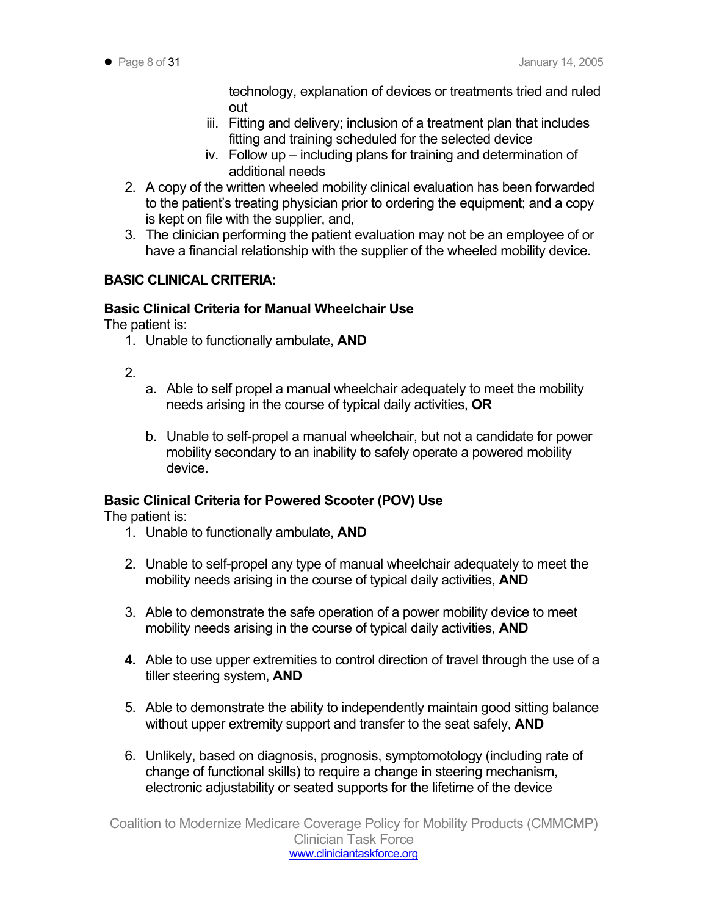technology, explanation of devices or treatments tried and ruled out

- iii. Fitting and delivery; inclusion of a treatment plan that includes fitting and training scheduled for the selected device
- iv. Follow up including plans for training and determination of additional needs
- 2. A copy of the written wheeled mobility clinical evaluation has been forwarded to the patient's treating physician prior to ordering the equipment; and a copy is kept on file with the supplier, and,
- 3. The clinician performing the patient evaluation may not be an employee of or have a financial relationship with the supplier of the wheeled mobility device.

## **BASIC CLINICAL CRITERIA:**

## **Basic Clinical Criteria for Manual Wheelchair Use**

The patient is:

- 1. Unable to functionally ambulate, **AND**
- 2.
- a. Able to self propel a manual wheelchair adequately to meet the mobility needs arising in the course of typical daily activities, **OR**
- b. Unable to self-propel a manual wheelchair, but not a candidate for power mobility secondary to an inability to safely operate a powered mobility device.

## **Basic Clinical Criteria for Powered Scooter (POV) Use**

The patient is:

- 1. Unable to functionally ambulate, **AND**
- 2. Unable to self-propel any type of manual wheelchair adequately to meet the mobility needs arising in the course of typical daily activities, **AND**
- 3. Able to demonstrate the safe operation of a power mobility device to meet mobility needs arising in the course of typical daily activities, **AND**
- **4.** Able to use upper extremities to control direction of travel through the use of a tiller steering system, **AND**
- 5. Able to demonstrate the ability to independently maintain good sitting balance without upper extremity support and transfer to the seat safely, **AND**
- 6. Unlikely, based on diagnosis, prognosis, symptomotology (including rate of change of functional skills) to require a change in steering mechanism, electronic adjustability or seated supports for the lifetime of the device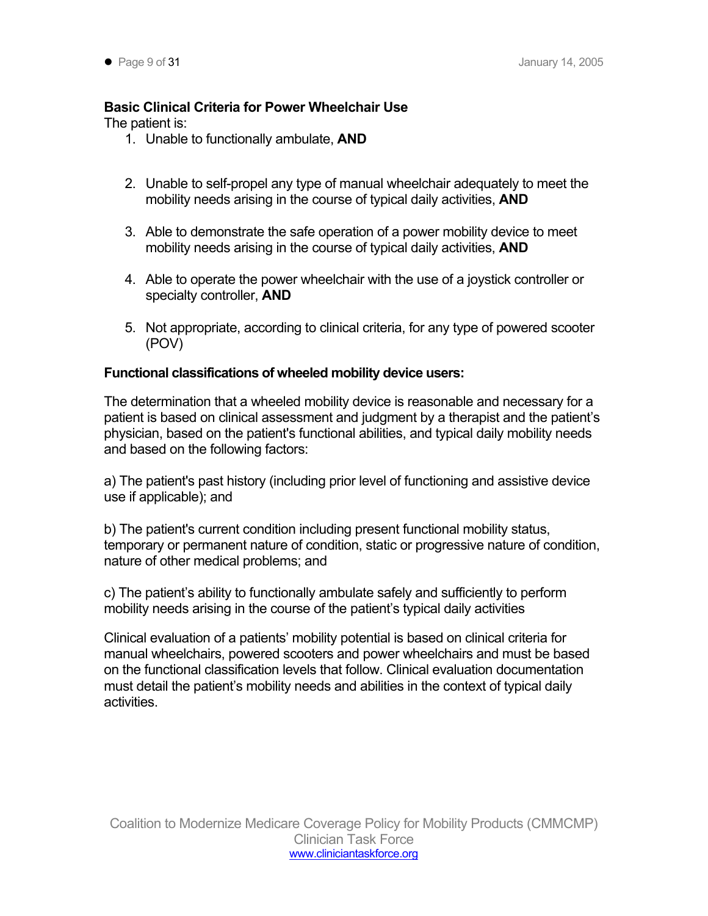## **Basic Clinical Criteria for Power Wheelchair Use**

The patient is:

- 1. Unable to functionally ambulate, **AND**
- 2. Unable to self-propel any type of manual wheelchair adequately to meet the mobility needs arising in the course of typical daily activities, **AND**
- 3. Able to demonstrate the safe operation of a power mobility device to meet mobility needs arising in the course of typical daily activities, **AND**
- 4. Able to operate the power wheelchair with the use of a joystick controller or specialty controller, **AND**
- 5. Not appropriate, according to clinical criteria, for any type of powered scooter (POV)

## **Functional classifications of wheeled mobility device users:**

The determination that a wheeled mobility device is reasonable and necessary for a patient is based on clinical assessment and judgment by a therapist and the patient's physician, based on the patient's functional abilities, and typical daily mobility needs and based on the following factors:

a) The patient's past history (including prior level of functioning and assistive device use if applicable); and

b) The patient's current condition including present functional mobility status, temporary or permanent nature of condition, static or progressive nature of condition, nature of other medical problems; and

c) The patient's ability to functionally ambulate safely and sufficiently to perform mobility needs arising in the course of the patient's typical daily activities

Clinical evaluation of a patients' mobility potential is based on clinical criteria for manual wheelchairs, powered scooters and power wheelchairs and must be based on the functional classification levels that follow. Clinical evaluation documentation must detail the patient's mobility needs and abilities in the context of typical daily activities.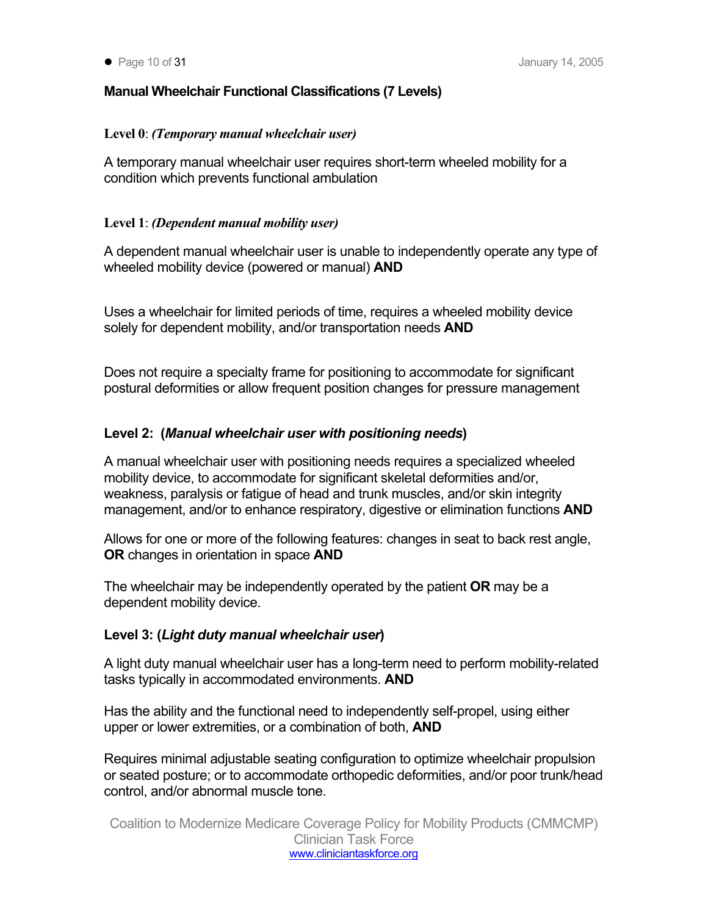## **Manual Wheelchair Functional Classifications (7 Levels)**

## **Level 0**: *(Temporary manual wheelchair user)*

A temporary manual wheelchair user requires short-term wheeled mobility for a condition which prevents functional ambulation

## **Level 1**: *(Dependent manual mobility user)*

A dependent manual wheelchair user is unable to independently operate any type of wheeled mobility device (powered or manual) **AND** 

Uses a wheelchair for limited periods of time, requires a wheeled mobility device solely for dependent mobility, and/or transportation needs **AND** 

Does not require a specialty frame for positioning to accommodate for significant postural deformities or allow frequent position changes for pressure management

## **Level 2: (***Manual wheelchair user with positioning needs***)**

A manual wheelchair user with positioning needs requires a specialized wheeled mobility device, to accommodate for significant skeletal deformities and/or, weakness, paralysis or fatigue of head and trunk muscles, and/or skin integrity management, and/or to enhance respiratory, digestive or elimination functions **AND**

Allows for one or more of the following features: changes in seat to back rest angle, **OR** changes in orientation in space **AND**

The wheelchair may be independently operated by the patient **OR** may be a dependent mobility device.

## **Level 3: (***Light duty manual wheelchair user***)**

A light duty manual wheelchair user has a long-term need to perform mobility-related tasks typically in accommodated environments. **AND** 

Has the ability and the functional need to independently self-propel, using either upper or lower extremities, or a combination of both, **AND** 

Requires minimal adjustable seating configuration to optimize wheelchair propulsion or seated posture; or to accommodate orthopedic deformities, and/or poor trunk/head control, and/or abnormal muscle tone.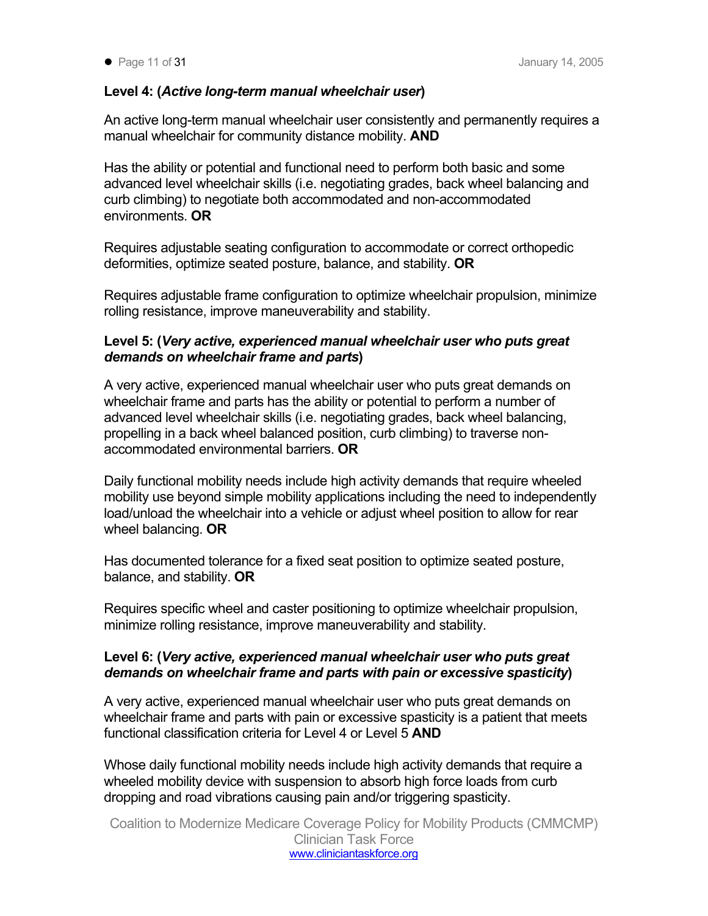## **Level 4: (***Active long-term manual wheelchair user***)**

An active long-term manual wheelchair user consistently and permanently requires a manual wheelchair for community distance mobility. **AND** 

Has the ability or potential and functional need to perform both basic and some advanced level wheelchair skills (i.e. negotiating grades, back wheel balancing and curb climbing) to negotiate both accommodated and non-accommodated environments. **OR** 

Requires adjustable seating configuration to accommodate or correct orthopedic deformities, optimize seated posture, balance, and stability. **OR** 

Requires adjustable frame configuration to optimize wheelchair propulsion, minimize rolling resistance, improve maneuverability and stability.

## **Level 5: (***Very active, experienced manual wheelchair user who puts great demands on wheelchair frame and parts***)**

A very active, experienced manual wheelchair user who puts great demands on wheelchair frame and parts has the ability or potential to perform a number of advanced level wheelchair skills (i.e. negotiating grades, back wheel balancing, propelling in a back wheel balanced position, curb climbing) to traverse nonaccommodated environmental barriers. **OR** 

Daily functional mobility needs include high activity demands that require wheeled mobility use beyond simple mobility applications including the need to independently load/unload the wheelchair into a vehicle or adjust wheel position to allow for rear wheel balancing. **OR** 

Has documented tolerance for a fixed seat position to optimize seated posture, balance, and stability. **OR** 

Requires specific wheel and caster positioning to optimize wheelchair propulsion, minimize rolling resistance, improve maneuverability and stability.

## **Level 6: (***Very active, experienced manual wheelchair user who puts great demands on wheelchair frame and parts with pain or excessive spasticity***)**

A very active, experienced manual wheelchair user who puts great demands on wheelchair frame and parts with pain or excessive spasticity is a patient that meets functional classification criteria for Level 4 or Level 5 **AND** 

Whose daily functional mobility needs include high activity demands that require a wheeled mobility device with suspension to absorb high force loads from curb dropping and road vibrations causing pain and/or triggering spasticity.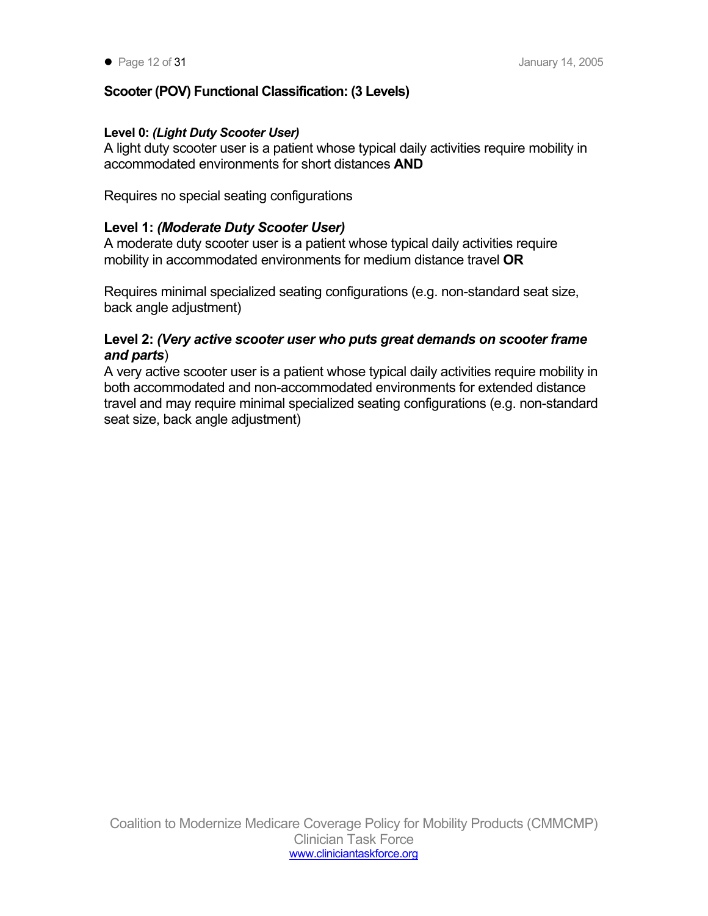## **Scooter (POV) Functional Classification: (3 Levels)**

## **Level 0:** *(Light Duty Scooter User)*

A light duty scooter user is a patient whose typical daily activities require mobility in accommodated environments for short distances **AND** 

Requires no special seating configurations

## **Level 1:** *(Moderate Duty Scooter User)*

A moderate duty scooter user is a patient whose typical daily activities require mobility in accommodated environments for medium distance travel **OR** 

Requires minimal specialized seating configurations (e.g. non-standard seat size, back angle adjustment)

## **Level 2:** *(Very active scooter user who puts great demands on scooter frame and parts*)

A very active scooter user is a patient whose typical daily activities require mobility in both accommodated and non-accommodated environments for extended distance travel and may require minimal specialized seating configurations (e.g. non-standard seat size, back angle adjustment)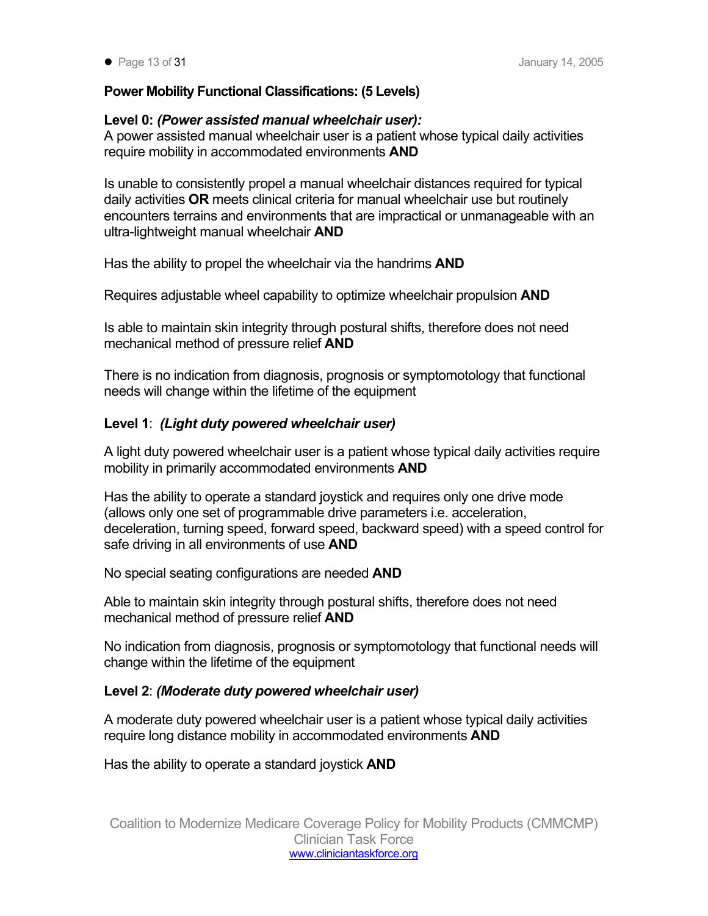## **Power Mobility Functional Classifications: (5 Levels)**

## **Level 0:** *(Power assisted manual wheelchair user):*

A power assisted manual wheelchair user is a patient whose typical daily activities require mobility in accommodated environments **AND** 

Is unable to consistently propel a manual wheelchair distances required for typical daily activities **OR** meets clinical criteria for manual wheelchair use but routinely encounters terrains and environments that are impractical or unmanageable with an ultra-lightweight manual wheelchair **AND** 

Has the ability to propel the wheelchair via the handrims **AND**

Requires adjustable wheel capability to optimize wheelchair propulsion **AND** 

Is able to maintain skin integrity through postural shifts, therefore does not need mechanical method of pressure relief **AND** 

There is no indication from diagnosis, prognosis or symptomotology that functional needs will change within the lifetime of the equipment

## **Level 1**: *(Light duty powered wheelchair user)*

A light duty powered wheelchair user is a patient whose typical daily activities require mobility in primarily accommodated environments **AND** 

Has the ability to operate a standard joystick and requires only one drive mode (allows only one set of programmable drive parameters i.e. acceleration, deceleration, turning speed, forward speed, backward speed) with a speed control for safe driving in all environments of use **AND** 

No special seating configurations are needed **AND** 

Able to maintain skin integrity through postural shifts, therefore does not need mechanical method of pressure relief **AND** 

No indication from diagnosis, prognosis or symptomotology that functional needs will change within the lifetime of the equipment

## **Level 2**: *(Moderate duty powered wheelchair user)*

A moderate duty powered wheelchair user is a patient whose typical daily activities require long distance mobility in accommodated environments **AND** 

Has the ability to operate a standard joystick **AND**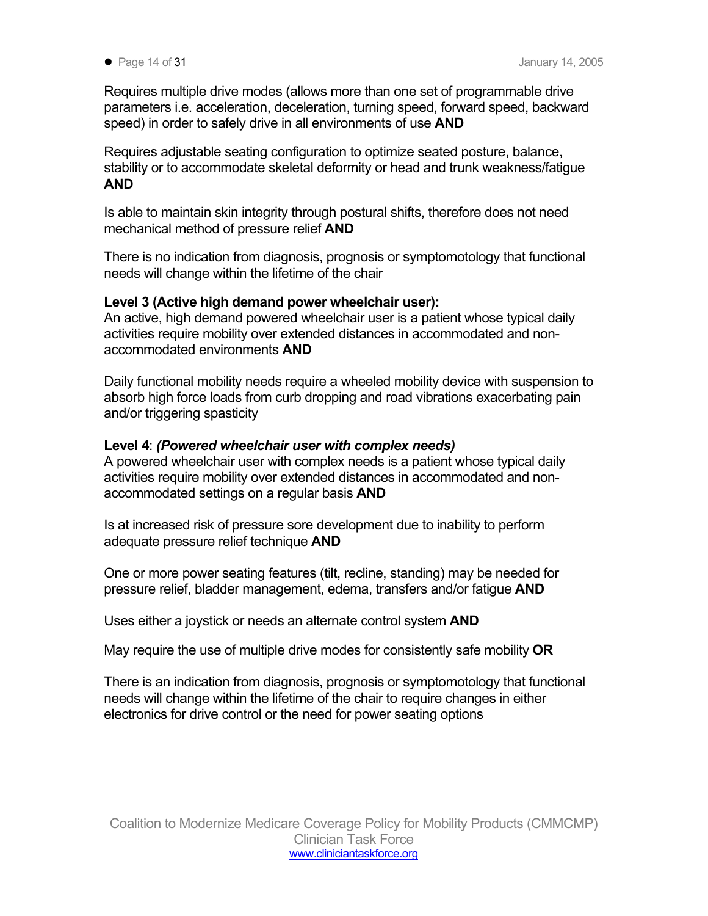Requires multiple drive modes (allows more than one set of programmable drive parameters i.e. acceleration, deceleration, turning speed, forward speed, backward speed) in order to safely drive in all environments of use **AND** 

Requires adjustable seating configuration to optimize seated posture, balance, stability or to accommodate skeletal deformity or head and trunk weakness/fatigue **AND** 

Is able to maintain skin integrity through postural shifts, therefore does not need mechanical method of pressure relief **AND** 

There is no indication from diagnosis, prognosis or symptomotology that functional needs will change within the lifetime of the chair

## **Level 3 (Active high demand power wheelchair user):**

An active, high demand powered wheelchair user is a patient whose typical daily activities require mobility over extended distances in accommodated and nonaccommodated environments **AND** 

Daily functional mobility needs require a wheeled mobility device with suspension to absorb high force loads from curb dropping and road vibrations exacerbating pain and/or triggering spasticity

## **Level 4**: *(Powered wheelchair user with complex needs)*

A powered wheelchair user with complex needs is a patient whose typical daily activities require mobility over extended distances in accommodated and nonaccommodated settings on a regular basis **AND** 

Is at increased risk of pressure sore development due to inability to perform adequate pressure relief technique **AND** 

One or more power seating features (tilt, recline, standing) may be needed for pressure relief, bladder management, edema, transfers and/or fatigue **AND** 

Uses either a joystick or needs an alternate control system **AND**

May require the use of multiple drive modes for consistently safe mobility **OR**

There is an indication from diagnosis, prognosis or symptomotology that functional needs will change within the lifetime of the chair to require changes in either electronics for drive control or the need for power seating options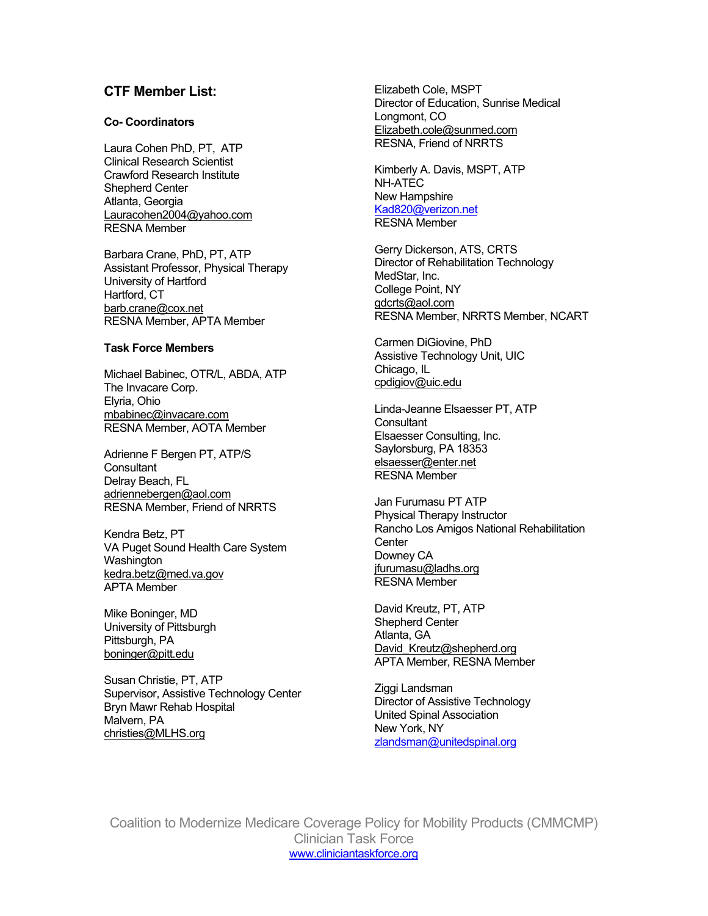Laura Cohen PhD, PT, ATP<br>Clinical Research Scientist<br>Clinical Research Scientist Clinical Research Scientist Crawford Research Institute Crawford Research Institute NH-ATEC [New Hampshire](mailto:Kad820@verizon.net) New Hampshire New Hampshire Atlanta, Georgia  $\frac{\text{Kad820@verizon.net}}{\text{RESNA Member}}$  $\frac{\text{Kad820@verizon.net}}{\text{RESNA Member}}$  $\frac{\text{Kad820@verizon.net}}{\text{RESNA Member}}$ 

Michael Babinec, OTR/L, ABDA, ATP 
<br>
The Invesse Cern Corp Control Control opdigiov@uic.edu The Invacare Corp. [Elyria, Ohio](mailto:mbabinec@invacare.com) Linda-Jeanne Elsaesser PT, ATP [mbabinec@invacare.com](mailto:mbabinec@invacare.com) Consultant RESNA Member, AOTA Member Elsaesser Consulting, Inc.

Adrienne F Bergen PT, ATP/S<br>
Consultant [elsaesser@enter.net](mailto:elsaesser@enter.net)<br>
Delray Beach, FL<br>
Delray Beach, FL [adriennebergen@aol.com](mailto:adriennebergen@aol.com)<br>RESNA Member, Friend of NRRTS Physical Therapy Instructor

Kendra Betz, PT VA Puget Sound Health Care System Wa Downey CA Downey CA Shington in the shine of the shington in the shington in the shington in the shington in the shington in the shington in the shington in the shington in the shington in the shington in the shington i

Susan Christie, PT, ATP<br>
Supervisor, Assistive Technology Center<br>
Bryn Mawr Rehab Hospital<br>
Malvern, PA United Spinal Association<br>
Christies@MLHS.org<br> [christies@MLHS.org](mailto:christies@MLHS.org)<br>
Christies@MLHS.org<br>
Mew York, NY<br>
Zlandsman@uniteds

**CTF Member List:** Elizabeth Cole, MSPT Director of Education, Sunrise Medical Longmont, CO **Co- Coordinators** [Elizabeth.cole@sunmed.com](mailto:Elizabeth.cole@sunmed.com)

Barbara Crane, PhD, PT, ATP<br>
Assistant Professor, Physical Therapy<br>
University of Hartford<br>
Hartford, CT<br>
Director of Rehabilitation Technology<br>
MedStar, Inc.<br> [College Point, NY](mailto:gdcrts@aol.com)<br>
Director of Rehabilitation Technology<br>
MedS

**Task Force Members**<br> **Task Force Members Assistive Technology Unit, UIC** Assistive Technology Unit, UIC

Rancho Los Amigos National Rehabilitation **Center** 

Mike Boninger, MD<br>
University of Pittsburgh Atlanta, GA Shepherd Center Atlanta, GA Pittsburgh, PA [David\\_Kreutz@shepherd.org](mailto:David_Kreutz@shepherd.org) [boninger@pitt.edu](mailto:boninger@pitt.edu) APTA Member, RESNA Member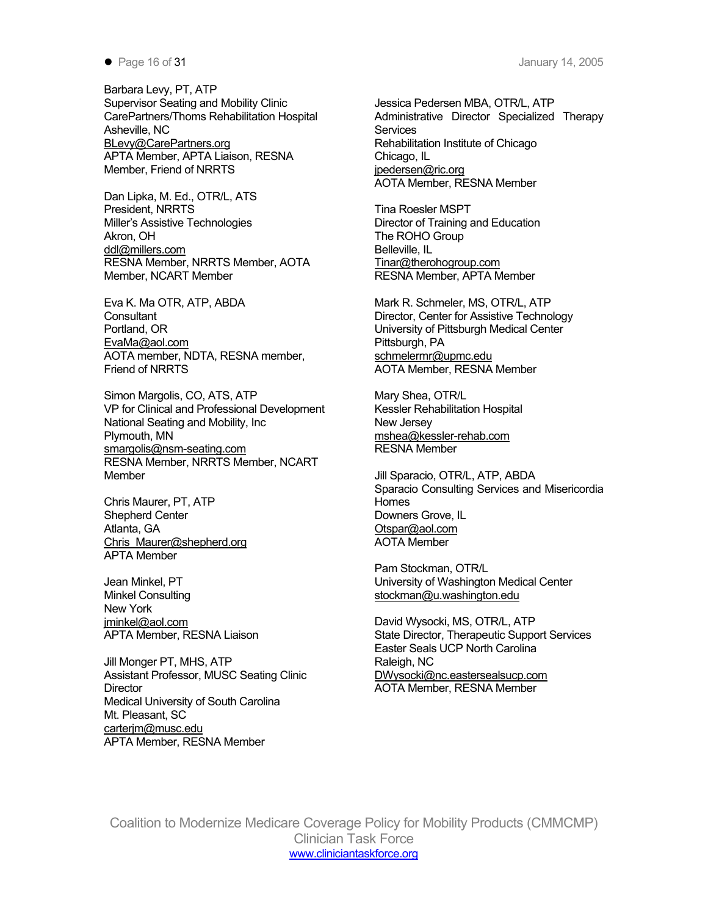Barbara Levy, PT, ATP Supervisor Seating and Mobility Clinic Guidean Musica Pedersen MBA, OTR/L, ATP CarePartners/Thoms Rehabilitation Hospital Asheville, NC [BLevy@CarePartners.org](mailto:BLevy@CarePartners.org) entitled and relation institute of Chicago APTA Member, APTA Liaison, RESNA Chicago, IL Member, Friend of NRRTS in the state of pedersen@ric.org

Dan Lipka, M. Ed., OTR/L, ATS President, NRRTS Tina Roesler MSPT Miller's Assistive Technologies Director of Training and Education Akron, OH The ROHO Group [ddl@millers.com](mailto:ddl@millers.com) Belleville, IL RESNA Member, NRRTS Member, AOTA Member, NCART Member

Eva K. Ma OTR, ATP, ABDA Mark R. Schmeler, MS, OTR/L, ATP Consultant Director, Center for Assistive Technology Portland, OR University of Pittsburgh Medical Center [EvaMa@aol.com](mailto:EvaMa@aol.com) Pittsburgh, PA<br>AOTA member, NDTA, RESNA member, examplement@upmc.edu AOTA member, NDTA, RESNA member, Friend of NRRTS And The State of AOTA Member, RESNA Member

Simon Margolis, CO, ATS, ATP Mary Shea, OTR/L VP for Clinical and Professional Development Kessler Rehabilitation Hospital National Seating and Mobility, Inc New Jersey Plymouth, MN [mshea@kessler-rehab.com](mailto:mshea@kessler-rehab.com) [smargolis@nsm-seating.com](mailto:smargolis@nsm-seating.com) RESNA Member RESNA Member, NRRTS Member, NCART Member Jill Sparacio, OTR/L, ATP, ABDA

Chris Maurer, PT, ATP Homes Shepherd Center **Downers Grove, IL** Atlanta, GA **Otspar@aol.com** Chris Maurer@shepherd.org Manuscription AOTA Member APTA Member

Minkel Consulting [stockman@u.washington.edu](mailto:stockman@u.washington.edu) New York [jminkel@aol.com](mailto:jminkel@aol.com) **David Wysocki, MS, OTR/L, ATP** 

Jill Monger PT, MHS, ATP Raleigh, NC Assistant Professor, MUSC Seating Clinic **[DWysocki@nc.eastersealsucp.com](mailto:DWysocki@nc.eastersealsucp.com)** Director AOTA Member, RESNA Member Medical University of South Carolina Mt. Pleasant, SC [carterjm@musc.edu](mailto:carterjm@musc.edu) APTA Member, RESNA Member

Administrative Director Specialized Therapy **Services** AOTA Member, RESNA Member

[Tinar@therohogroup.com](mailto:Tinar@therohogroup.com) RESNA Member, APTA Member

Sparacio Consulting Services and Misericordia

Pam Stockman, OTR/L Jean Minkel, PT **University of Washington Medical Center** 

APTA Member, RESNA Liaison State Director, Therapeutic Support Services Easter Seals UCP North Carolina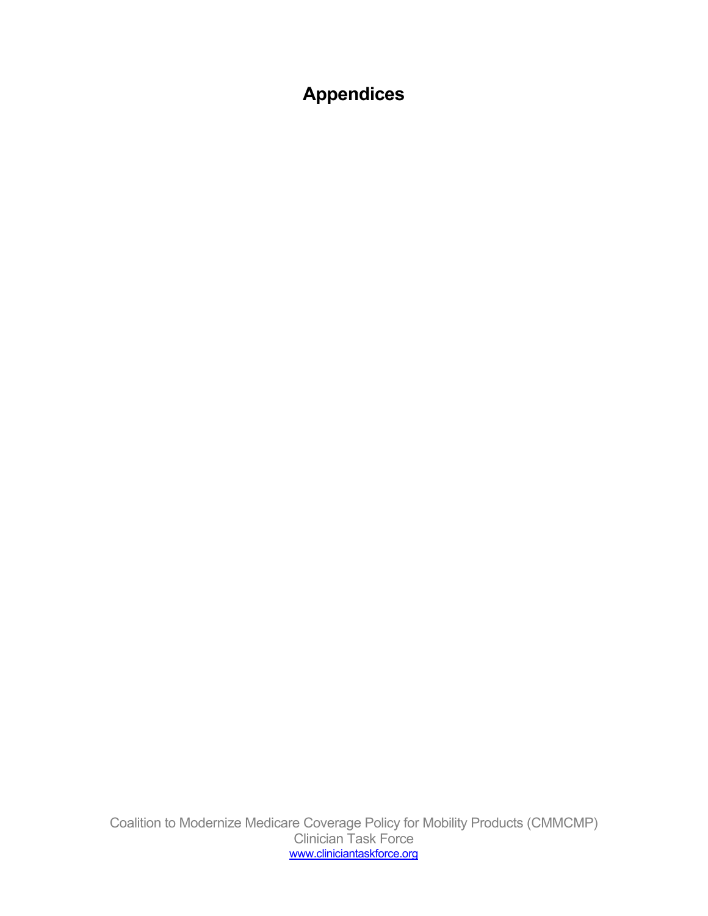# **Appendices**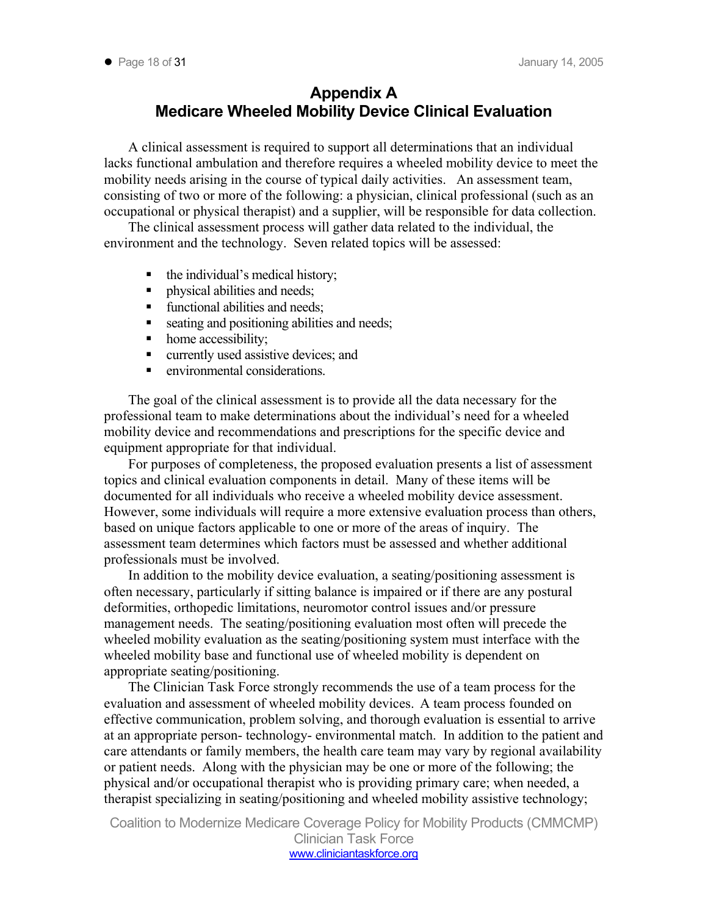## **Appendix A Medicare Wheeled Mobility Device Clinical Evaluation**

A clinical assessment is required to support all determinations that an individual lacks functional ambulation and therefore requires a wheeled mobility device to meet the mobility needs arising in the course of typical daily activities. An assessment team, consisting of two or more of the following: a physician, clinical professional (such as an occupational or physical therapist) and a supplier, will be responsible for data collection.

The clinical assessment process will gather data related to the individual, the environment and the technology. Seven related topics will be assessed:

- $\blacksquare$  the individual's medical history;
- physical abilities and needs;
- functional abilities and needs;
- seating and positioning abilities and needs;
- home accessibility:
- **u** currently used assistive devices; and
- **EXECUTE:** environmental considerations.

The goal of the clinical assessment is to provide all the data necessary for the professional team to make determinations about the individual's need for a wheeled mobility device and recommendations and prescriptions for the specific device and equipment appropriate for that individual.

For purposes of completeness, the proposed evaluation presents a list of assessment topics and clinical evaluation components in detail. Many of these items will be documented for all individuals who receive a wheeled mobility device assessment. However, some individuals will require a more extensive evaluation process than others, based on unique factors applicable to one or more of the areas of inquiry. The assessment team determines which factors must be assessed and whether additional professionals must be involved.

In addition to the mobility device evaluation, a seating/positioning assessment is often necessary, particularly if sitting balance is impaired or if there are any postural deformities, orthopedic limitations, neuromotor control issues and/or pressure management needs. The seating/positioning evaluation most often will precede the wheeled mobility evaluation as the seating/positioning system must interface with the wheeled mobility base and functional use of wheeled mobility is dependent on appropriate seating/positioning.

The Clinician Task Force strongly recommends the use of a team process for the evaluation and assessment of wheeled mobility devices.A team process founded on effective communication, problem solving, and thorough evaluation is essential to arrive at an appropriate person- technology- environmental match. In addition to the patient and care attendants or family members, the health care team may vary by regional availability or patient needs. Along with the physician may be one or more of the following; the physical and/or occupational therapist who is providing primary care; when needed, a therapist specializing in seating/positioning and wheeled mobility assistive technology;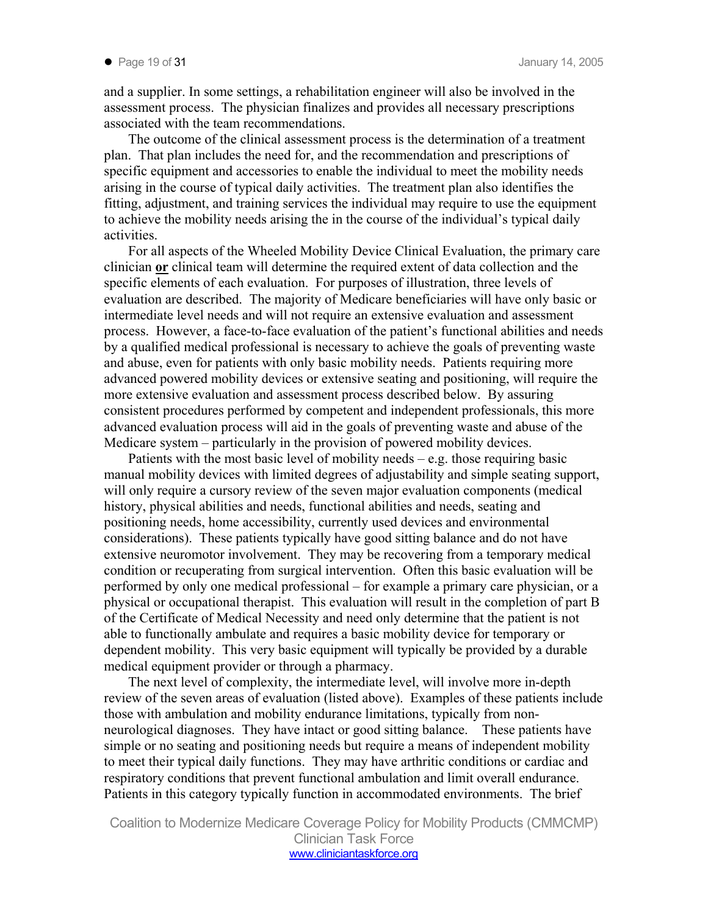and a supplier. In some settings, a rehabilitation engineer will also be involved in the assessment process. The physician finalizes and provides all necessary prescriptions associated with the team recommendations.

The outcome of the clinical assessment process is the determination of a treatment plan. That plan includes the need for, and the recommendation and prescriptions of specific equipment and accessories to enable the individual to meet the mobility needs arising in the course of typical daily activities. The treatment plan also identifies the fitting, adjustment, and training services the individual may require to use the equipment to achieve the mobility needs arising the in the course of the individual's typical daily activities.

For all aspects of the Wheeled Mobility Device Clinical Evaluation, the primary care clinician **or** clinical team will determine the required extent of data collection and the specific elements of each evaluation. For purposes of illustration, three levels of evaluation are described. The majority of Medicare beneficiaries will have only basic or intermediate level needs and will not require an extensive evaluation and assessment process. However, a face-to-face evaluation of the patient's functional abilities and needs by a qualified medical professional is necessary to achieve the goals of preventing waste and abuse, even for patients with only basic mobility needs. Patients requiring more advanced powered mobility devices or extensive seating and positioning, will require the more extensive evaluation and assessment process described below. By assuring consistent procedures performed by competent and independent professionals, this more advanced evaluation process will aid in the goals of preventing waste and abuse of the Medicare system – particularly in the provision of powered mobility devices.

Patients with the most basic level of mobility needs  $-e.g.$  those requiring basic manual mobility devices with limited degrees of adjustability and simple seating support, will only require a cursory review of the seven major evaluation components (medical history, physical abilities and needs, functional abilities and needs, seating and positioning needs, home accessibility, currently used devices and environmental considerations). These patients typically have good sitting balance and do not have extensive neuromotor involvement. They may be recovering from a temporary medical condition or recuperating from surgical intervention. Often this basic evaluation will be performed by only one medical professional – for example a primary care physician, or a physical or occupational therapist. This evaluation will result in the completion of part B of the Certificate of Medical Necessity and need only determine that the patient is not able to functionally ambulate and requires a basic mobility device for temporary or dependent mobility. This very basic equipment will typically be provided by a durable medical equipment provider or through a pharmacy.

The next level of complexity, the intermediate level, will involve more in-depth review of the seven areas of evaluation (listed above). Examples of these patients include those with ambulation and mobility endurance limitations, typically from nonneurological diagnoses. They have intact or good sitting balance. These patients have simple or no seating and positioning needs but require a means of independent mobility to meet their typical daily functions. They may have arthritic conditions or cardiac and respiratory conditions that prevent functional ambulation and limit overall endurance. Patients in this category typically function in accommodated environments. The brief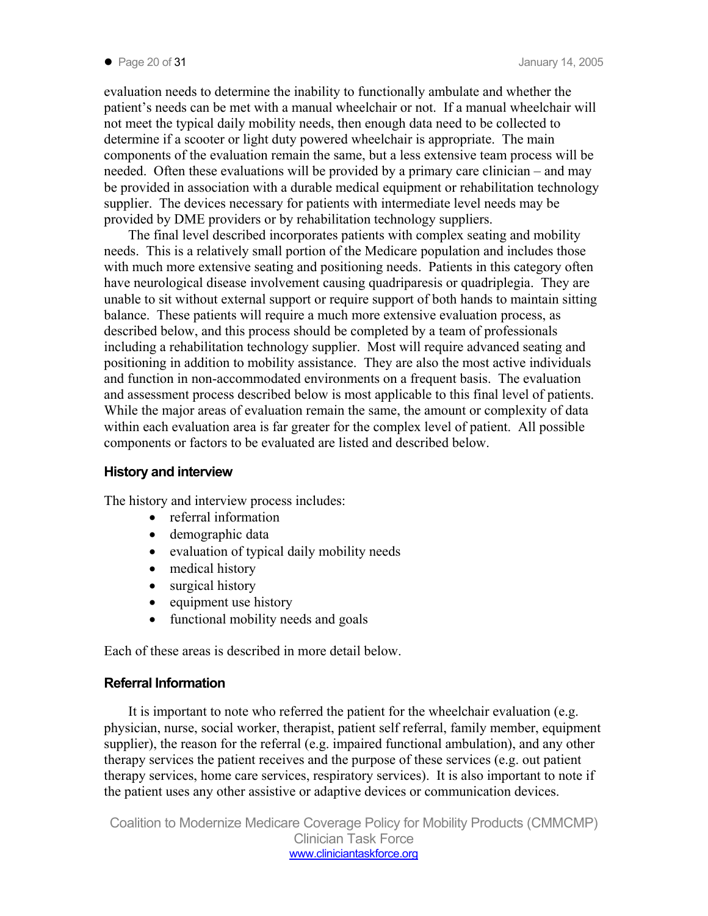evaluation needs to determine the inability to functionally ambulate and whether the patient's needs can be met with a manual wheelchair or not. If a manual wheelchair will not meet the typical daily mobility needs, then enough data need to be collected to determine if a scooter or light duty powered wheelchair is appropriate. The main components of the evaluation remain the same, but a less extensive team process will be needed. Often these evaluations will be provided by a primary care clinician – and may be provided in association with a durable medical equipment or rehabilitation technology supplier. The devices necessary for patients with intermediate level needs may be provided by DME providers or by rehabilitation technology suppliers.

The final level described incorporates patients with complex seating and mobility needs. This is a relatively small portion of the Medicare population and includes those with much more extensive seating and positioning needs. Patients in this category often have neurological disease involvement causing quadriparesis or quadriplegia. They are unable to sit without external support or require support of both hands to maintain sitting balance. These patients will require a much more extensive evaluation process, as described below, and this process should be completed by a team of professionals including a rehabilitation technology supplier. Most will require advanced seating and positioning in addition to mobility assistance. They are also the most active individuals and function in non-accommodated environments on a frequent basis. The evaluation and assessment process described below is most applicable to this final level of patients. While the major areas of evaluation remain the same, the amount or complexity of data within each evaluation area is far greater for the complex level of patient. All possible components or factors to be evaluated are listed and described below.

### **History and interview**

The history and interview process includes:

- referral information
- demographic data
- evaluation of typical daily mobility needs
- medical history
- surgical history
- equipment use history
- functional mobility needs and goals

Each of these areas is described in more detail below.

### **Referral Information**

It is important to note who referred the patient for the wheelchair evaluation (e.g. physician, nurse, social worker, therapist, patient self referral, family member, equipment supplier), the reason for the referral (e.g. impaired functional ambulation), and any other therapy services the patient receives and the purpose of these services (e.g. out patient therapy services, home care services, respiratory services). It is also important to note if the patient uses any other assistive or adaptive devices or communication devices.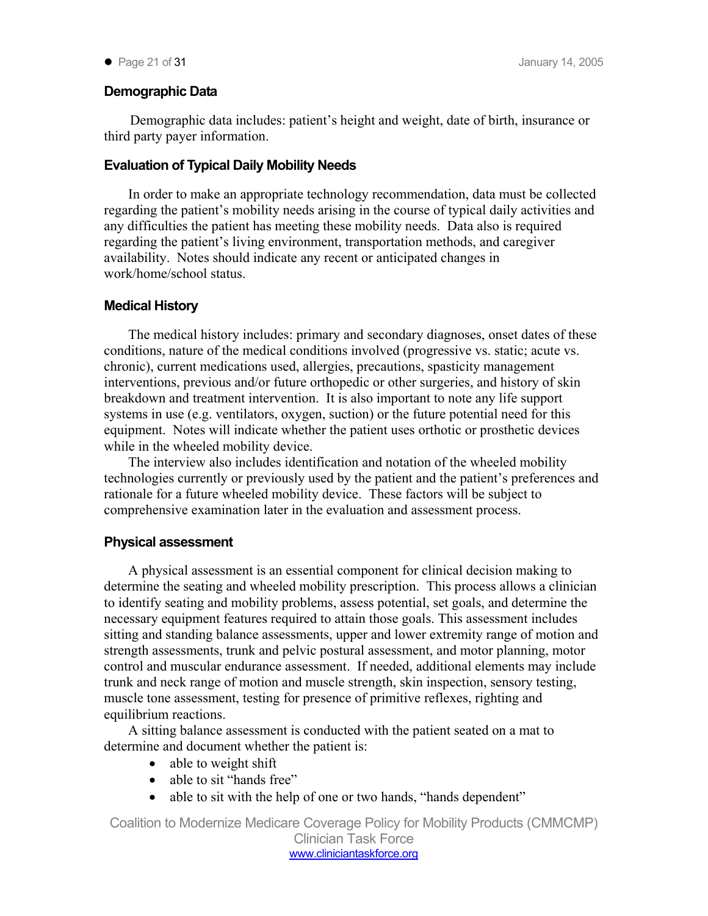## **Demographic Data**

Demographic data includes: patient's height and weight, date of birth, insurance or third party payer information.

## **Evaluation of Typical Daily Mobility Needs**

In order to make an appropriate technology recommendation, data must be collected regarding the patient's mobility needs arising in the course of typical daily activities and any difficulties the patient has meeting these mobility needs. Data also is required regarding the patient's living environment, transportation methods, and caregiver availability. Notes should indicate any recent or anticipated changes in work/home/school status.

### **Medical History**

The medical history includes: primary and secondary diagnoses, onset dates of these conditions, nature of the medical conditions involved (progressive vs. static; acute vs. chronic), current medications used, allergies, precautions, spasticity management interventions, previous and/or future orthopedic or other surgeries, and history of skin breakdown and treatment intervention. It is also important to note any life support systems in use (e.g. ventilators, oxygen, suction) or the future potential need for this equipment. Notes will indicate whether the patient uses orthotic or prosthetic devices while in the wheeled mobility device.

The interview also includes identification and notation of the wheeled mobility technologies currently or previously used by the patient and the patient's preferences and rationale for a future wheeled mobility device. These factors will be subject to comprehensive examination later in the evaluation and assessment process.

### **Physical assessment**

A physical assessment is an essential component for clinical decision making to determine the seating and wheeled mobility prescription. This process allows a clinician to identify seating and mobility problems, assess potential, set goals, and determine the necessary equipment features required to attain those goals. This assessment includes sitting and standing balance assessments, upper and lower extremity range of motion and strength assessments, trunk and pelvic postural assessment, and motor planning, motor control and muscular endurance assessment. If needed, additional elements may include trunk and neck range of motion and muscle strength, skin inspection, sensory testing, muscle tone assessment, testing for presence of primitive reflexes, righting and equilibrium reactions.

A sitting balance assessment is conducted with the patient seated on a mat to determine and document whether the patient is:

- able to weight shift
- able to sit "hands free"
- able to sit with the help of one or two hands, "hands dependent"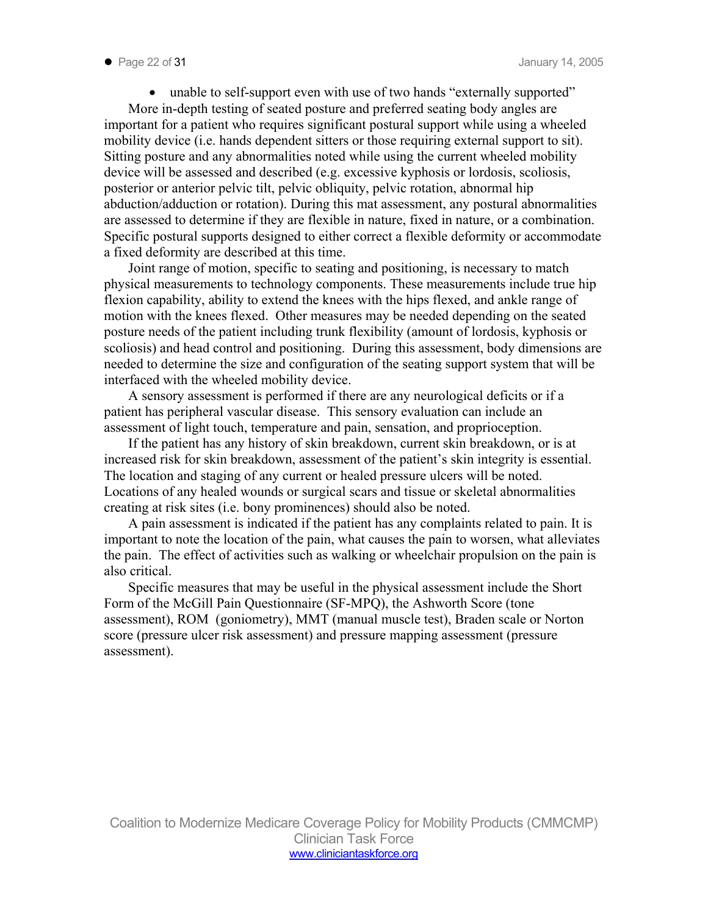• unable to self-support even with use of two hands "externally supported" More in-depth testing of seated posture and preferred seating body angles are important for a patient who requires significant postural support while using a wheeled mobility device (i.e. hands dependent sitters or those requiring external support to sit). Sitting posture and any abnormalities noted while using the current wheeled mobility device will be assessed and described (e.g. excessive kyphosis or lordosis, scoliosis, posterior or anterior pelvic tilt, pelvic obliquity, pelvic rotation, abnormal hip abduction/adduction or rotation). During this mat assessment, any postural abnormalities are assessed to determine if they are flexible in nature, fixed in nature, or a combination. Specific postural supports designed to either correct a flexible deformity or accommodate a fixed deformity are described at this time.

Joint range of motion, specific to seating and positioning, is necessary to match physical measurements to technology components. These measurements include true hip flexion capability, ability to extend the knees with the hips flexed, and ankle range of motion with the knees flexed. Other measures may be needed depending on the seated posture needs of the patient including trunk flexibility (amount of lordosis, kyphosis or scoliosis) and head control and positioning. During this assessment, body dimensions are needed to determine the size and configuration of the seating support system that will be interfaced with the wheeled mobility device.

A sensory assessment is performed if there are any neurological deficits or if a patient has peripheral vascular disease. This sensory evaluation can include an assessment of light touch, temperature and pain, sensation, and proprioception.

If the patient has any history of skin breakdown, current skin breakdown, or is at increased risk for skin breakdown, assessment of the patient's skin integrity is essential. The location and staging of any current or healed pressure ulcers will be noted. Locations of any healed wounds or surgical scars and tissue or skeletal abnormalities creating at risk sites (i.e. bony prominences) should also be noted.

A pain assessment is indicated if the patient has any complaints related to pain. It is important to note the location of the pain, what causes the pain to worsen, what alleviates the pain. The effect of activities such as walking or wheelchair propulsion on the pain is also critical.

Specific measures that may be useful in the physical assessment include the Short Form of the McGill Pain Questionnaire (SF-MPQ), the Ashworth Score (tone assessment), ROM (goniometry), MMT (manual muscle test), Braden scale or Norton score (pressure ulcer risk assessment) and pressure mapping assessment (pressure assessment).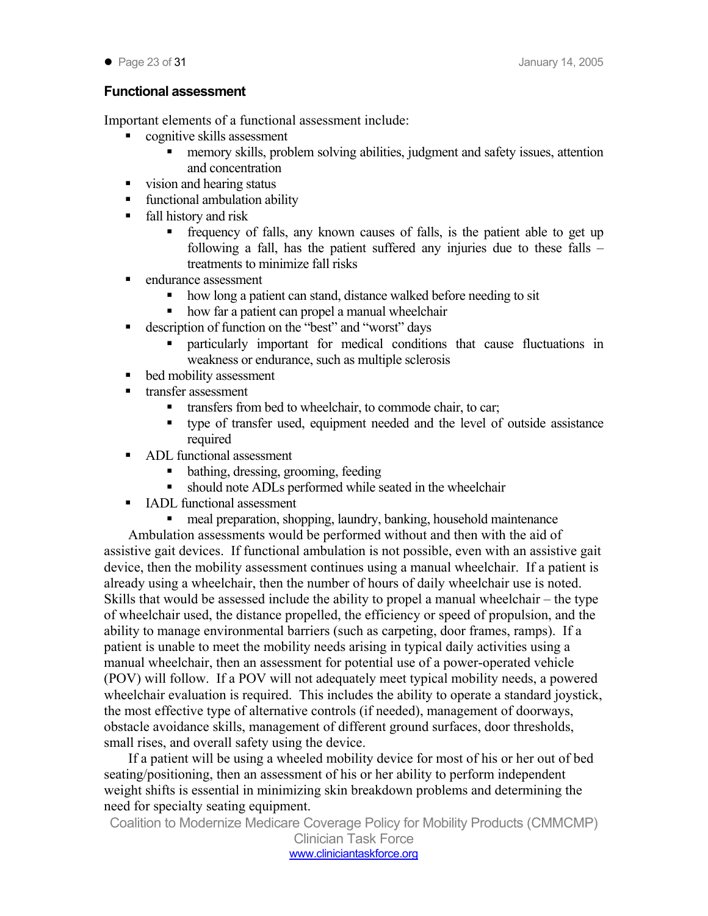## **Functional assessment**

Important elements of a functional assessment include:

- cognitive skills assessment
	- memory skills, problem solving abilities, judgment and safety issues, attention and concentration
- vision and hearing status
- functional ambulation ability
- fall history and risk
	- frequency of falls, any known causes of falls, is the patient able to get up following a fall, has the patient suffered any injuries due to these falls – treatments to minimize fall risks
- endurance assessment
	- how long a patient can stand, distance walked before needing to sit
	- how far a patient can propel a manual wheelchair
- description of function on the "best" and "worst" days
	- particularly important for medical conditions that cause fluctuations in weakness or endurance, such as multiple sclerosis
- **bed mobility assessment**
- transfer assessment
	- transfers from bed to wheelchair, to commode chair, to car;
	- type of transfer used, equipment needed and the level of outside assistance required
- **ADL** functional assessment
	- bathing, dressing, grooming, feeding
	- should note ADLs performed while seated in the wheelchair
- **IADL** functional assessment
	- meal preparation, shopping, laundry, banking, household maintenance

Ambulation assessments would be performed without and then with the aid of assistive gait devices. If functional ambulation is not possible, even with an assistive gait device, then the mobility assessment continues using a manual wheelchair. If a patient is already using a wheelchair, then the number of hours of daily wheelchair use is noted. Skills that would be assessed include the ability to propel a manual wheelchair – the type of wheelchair used, the distance propelled, the efficiency or speed of propulsion, and the ability to manage environmental barriers (such as carpeting, door frames, ramps). If a patient is unable to meet the mobility needs arising in typical daily activities using a manual wheelchair, then an assessment for potential use of a power-operated vehicle (POV) will follow. If a POV will not adequately meet typical mobility needs, a powered wheelchair evaluation is required. This includes the ability to operate a standard joystick, the most effective type of alternative controls (if needed), management of doorways, obstacle avoidance skills, management of different ground surfaces, door thresholds, small rises, and overall safety using the device.

If a patient will be using a wheeled mobility device for most of his or her out of bed seating/positioning, then an assessment of his or her ability to perform independent weight shifts is essential in minimizing skin breakdown problems and determining the need for specialty seating equipment.

Coalition to Modernize Medicare Coverage Policy for Mobility Products (CMMCMP)

Clinician Task Force www.cliniciantaskforce.org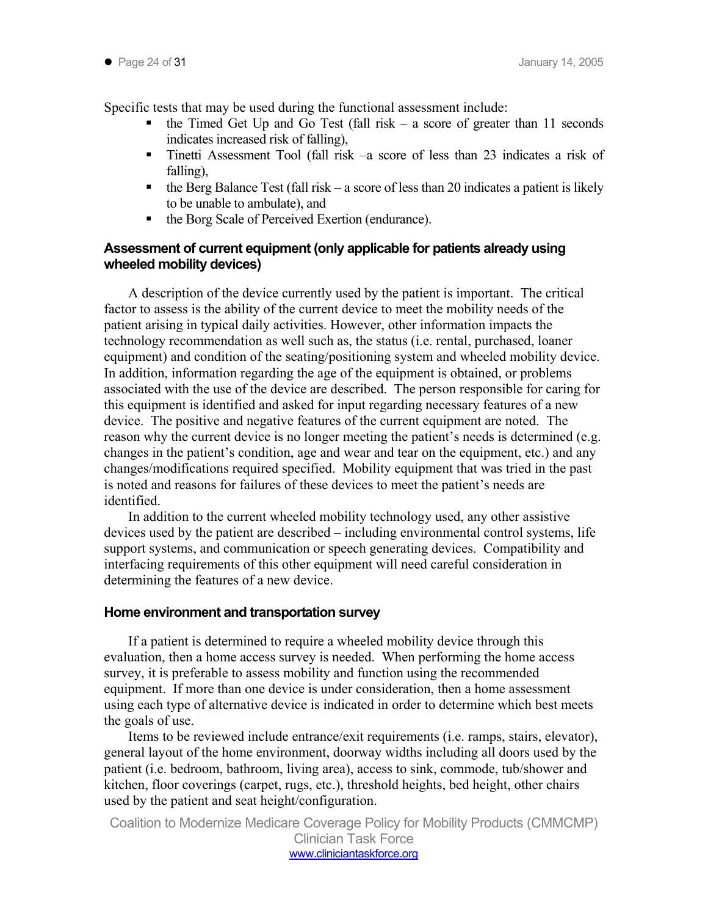Specific tests that may be used during the functional assessment include:

- $\bullet$  the Timed Get Up and Go Test (fall risk a score of greater than 11 seconds indicates increased risk of falling),
- Tinetti Assessment Tool (fall risk –a score of less than 23 indicates a risk of falling),
- $\bullet$  the Berg Balance Test (fall risk a score of less than 20 indicates a patient is likely to be unable to ambulate), and
- the Borg Scale of Perceived Exertion (endurance).

## **Assessment of current equipment (only applicable for patients already using wheeled mobility devices)**

A description of the device currently used by the patient is important. The critical factor to assess is the ability of the current device to meet the mobility needs of the patient arising in typical daily activities. However, other information impacts the technology recommendation as well such as, the status (i.e. rental, purchased, loaner equipment) and condition of the seating/positioning system and wheeled mobility device. In addition, information regarding the age of the equipment is obtained, or problems associated with the use of the device are described. The person responsible for caring for this equipment is identified and asked for input regarding necessary features of a new device. The positive and negative features of the current equipment are noted. The reason why the current device is no longer meeting the patient's needs is determined (e.g. changes in the patient's condition, age and wear and tear on the equipment, etc.) and any changes/modifications required specified. Mobility equipment that was tried in the past is noted and reasons for failures of these devices to meet the patient's needs are identified.

In addition to the current wheeled mobility technology used, any other assistive devices used by the patient are described – including environmental control systems, life support systems, and communication or speech generating devices. Compatibility and interfacing requirements of this other equipment will need careful consideration in determining the features of a new device.

### **Home environment and transportation survey**

If a patient is determined to require a wheeled mobility device through this evaluation, then a home access survey is needed. When performing the home access survey, it is preferable to assess mobility and function using the recommended equipment. If more than one device is under consideration, then a home assessment using each type of alternative device is indicated in order to determine which best meets the goals of use.

Items to be reviewed include entrance/exit requirements (i.e. ramps, stairs, elevator), general layout of the home environment, doorway widths including all doors used by the patient (i.e. bedroom, bathroom, living area), access to sink, commode, tub/shower and kitchen, floor coverings (carpet, rugs, etc.), threshold heights, bed height, other chairs used by the patient and seat height/configuration.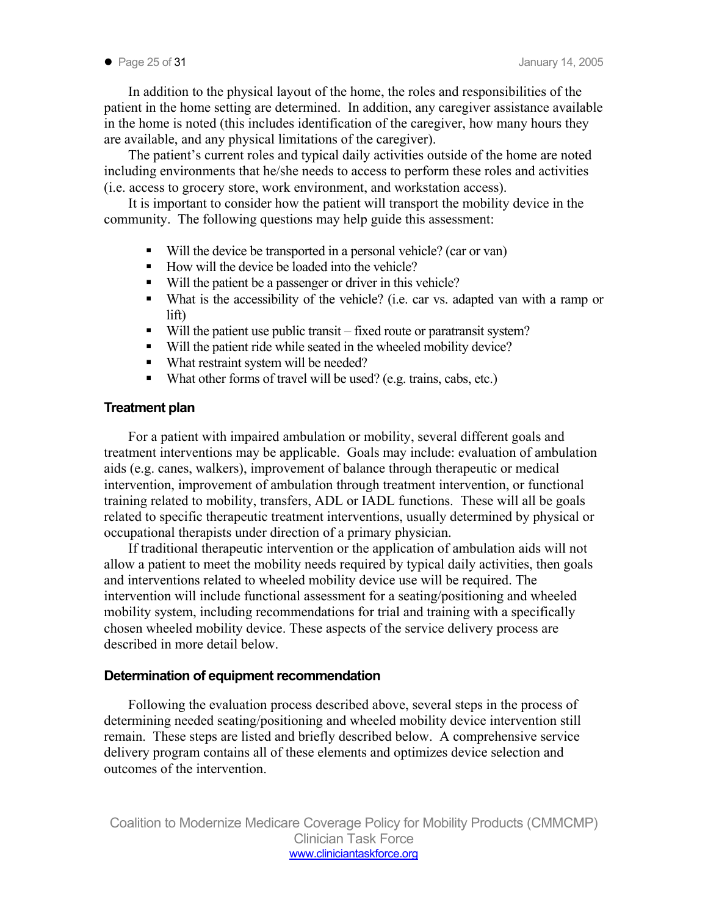● Page 25 of 31 January 14, 2005

In addition to the physical layout of the home, the roles and responsibilities of the patient in the home setting are determined. In addition, any caregiver assistance available in the home is noted (this includes identification of the caregiver, how many hours they are available, and any physical limitations of the caregiver).

The patient's current roles and typical daily activities outside of the home are noted including environments that he/she needs to access to perform these roles and activities (i.e. access to grocery store, work environment, and workstation access).

It is important to consider how the patient will transport the mobility device in the community. The following questions may help guide this assessment:

- Will the device be transported in a personal vehicle? (car or van)
- $\blacksquare$  How will the device be loaded into the vehicle?
- Will the patient be a passenger or driver in this vehicle?
- What is the accessibility of the vehicle? (i.e. car vs. adapted van with a ramp or lift)
- Will the patient use public transit fixed route or paratransit system?
- Will the patient ride while seated in the wheeled mobility device?
- What restraint system will be needed?
- What other forms of travel will be used? (e.g. trains, cabs, etc.)

#### **Treatment plan**

For a patient with impaired ambulation or mobility, several different goals and treatment interventions may be applicable. Goals may include: evaluation of ambulation aids (e.g. canes, walkers), improvement of balance through therapeutic or medical intervention, improvement of ambulation through treatment intervention, or functional training related to mobility, transfers, ADL or IADL functions. These will all be goals related to specific therapeutic treatment interventions, usually determined by physical or occupational therapists under direction of a primary physician.

If traditional therapeutic intervention or the application of ambulation aids will not allow a patient to meet the mobility needs required by typical daily activities, then goals and interventions related to wheeled mobility device use will be required. The intervention will include functional assessment for a seating/positioning and wheeled mobility system, including recommendations for trial and training with a specifically chosen wheeled mobility device. These aspects of the service delivery process are described in more detail below.

#### **Determination of equipment recommendation**

Following the evaluation process described above, several steps in the process of determining needed seating/positioning and wheeled mobility device intervention still remain. These steps are listed and briefly described below. A comprehensive service delivery program contains all of these elements and optimizes device selection and outcomes of the intervention.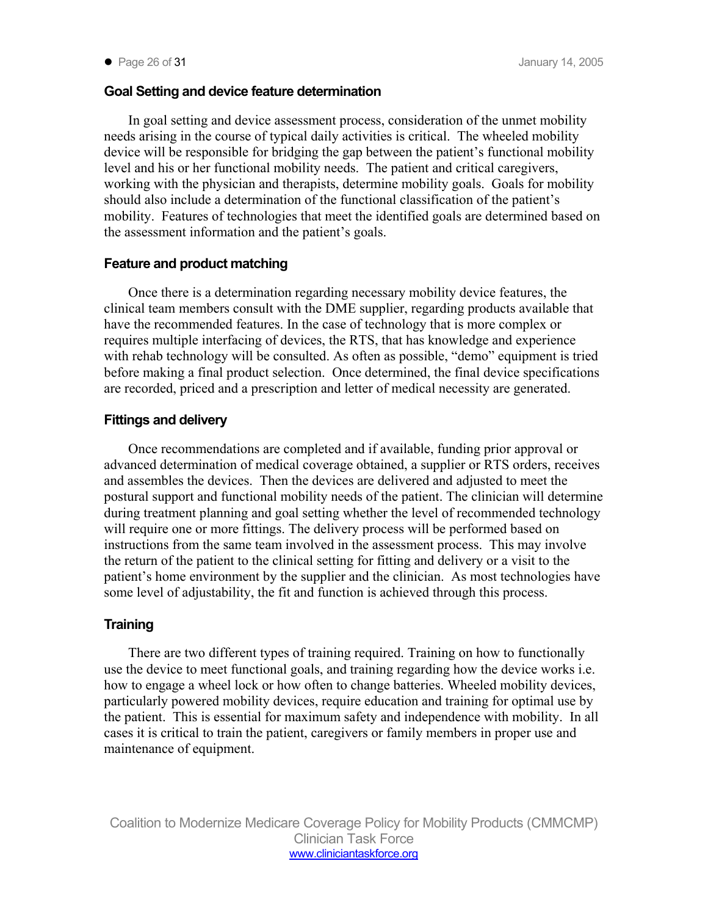## **Goal Setting and device feature determination**

In goal setting and device assessment process, consideration of the unmet mobility needs arising in the course of typical daily activities is critical. The wheeled mobility device will be responsible for bridging the gap between the patient's functional mobility level and his or her functional mobility needs. The patient and critical caregivers, working with the physician and therapists, determine mobility goals. Goals for mobility should also include a determination of the functional classification of the patient's mobility. Features of technologies that meet the identified goals are determined based on the assessment information and the patient's goals.

## **Feature and product matching**

Once there is a determination regarding necessary mobility device features, the clinical team members consult with the DME supplier, regarding products available that have the recommended features. In the case of technology that is more complex or requires multiple interfacing of devices, the RTS, that has knowledge and experience with rehab technology will be consulted. As often as possible, "demo" equipment is tried before making a final product selection. Once determined, the final device specifications are recorded, priced and a prescription and letter of medical necessity are generated.

## **Fittings and delivery**

Once recommendations are completed and if available, funding prior approval or advanced determination of medical coverage obtained, a supplier or RTS orders, receives and assembles the devices. Then the devices are delivered and adjusted to meet the postural support and functional mobility needs of the patient. The clinician will determine during treatment planning and goal setting whether the level of recommended technology will require one or more fittings. The delivery process will be performed based on instructions from the same team involved in the assessment process. This may involve the return of the patient to the clinical setting for fitting and delivery or a visit to the patient's home environment by the supplier and the clinician. As most technologies have some level of adjustability, the fit and function is achieved through this process.

## **Training**

There are two different types of training required. Training on how to functionally use the device to meet functional goals, and training regarding how the device works i.e. how to engage a wheel lock or how often to change batteries. Wheeled mobility devices, particularly powered mobility devices, require education and training for optimal use by the patient. This is essential for maximum safety and independence with mobility. In all cases it is critical to train the patient, caregivers or family members in proper use and maintenance of equipment.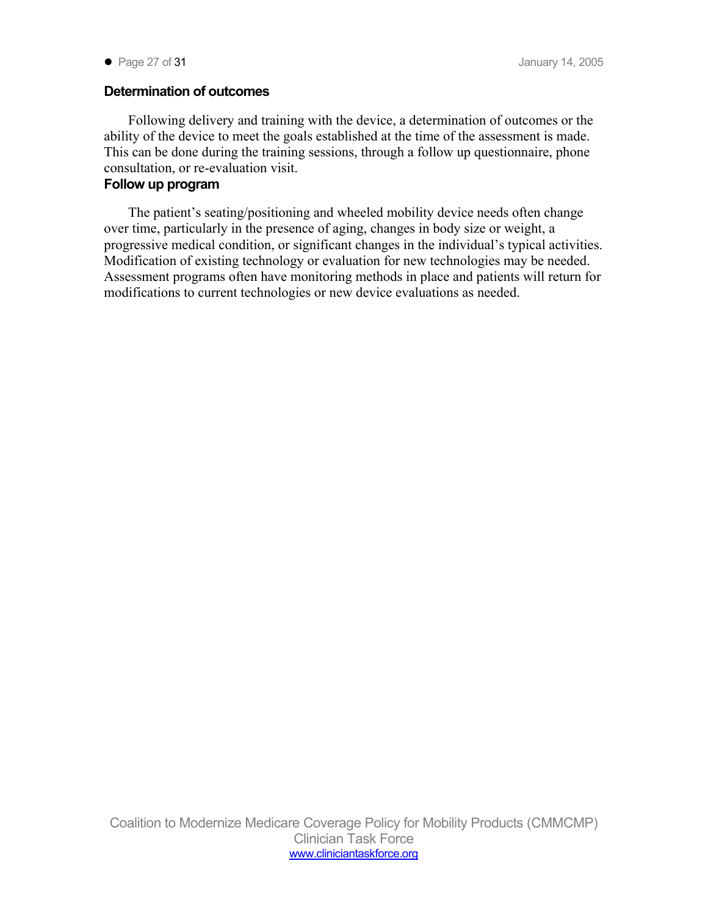## **Determination of outcomes**

Following delivery and training with the device, a determination of outcomes or the ability of the device to meet the goals established at the time of the assessment is made. This can be done during the training sessions, through a follow up questionnaire, phone consultation, or re-evaluation visit.

## **Follow up program**

The patient's seating/positioning and wheeled mobility device needs often change over time, particularly in the presence of aging, changes in body size or weight, a progressive medical condition, or significant changes in the individual's typical activities. Modification of existing technology or evaluation for new technologies may be needed. Assessment programs often have monitoring methods in place and patients will return for modifications to current technologies or new device evaluations as needed.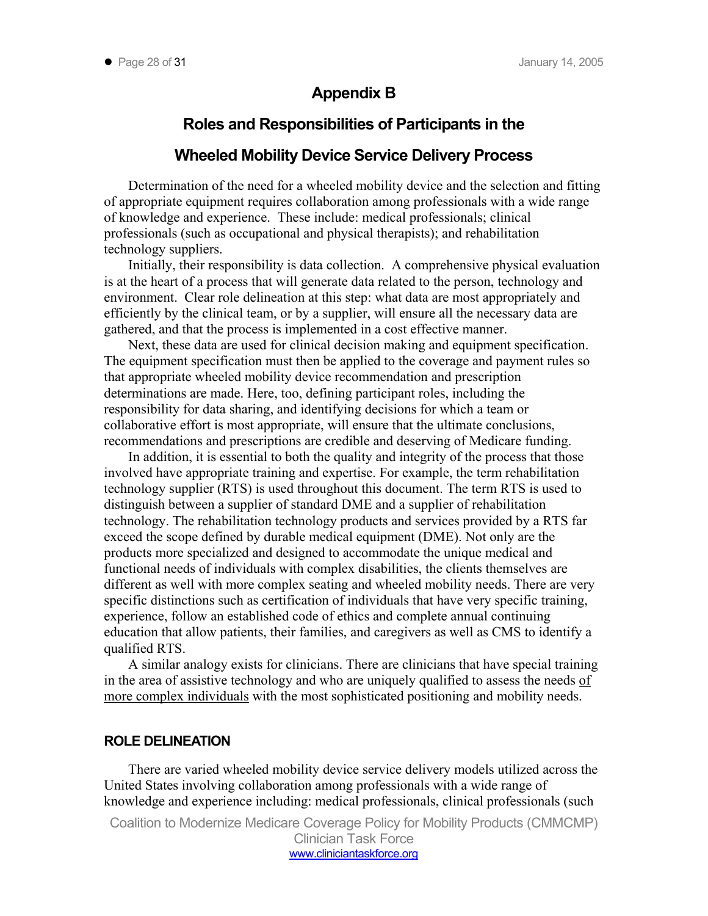## **Appendix B**

## **Roles and Responsibilities of Participants in the**

## **Wheeled Mobility Device Service Delivery Process**

Determination of the need for a wheeled mobility device and the selection and fitting of appropriate equipment requires collaboration among professionals with a wide range of knowledge and experience. These include: medical professionals; clinical professionals (such as occupational and physical therapists); and rehabilitation technology suppliers.

Initially, their responsibility is data collection. A comprehensive physical evaluation is at the heart of a process that will generate data related to the person, technology and environment. Clear role delineation at this step: what data are most appropriately and efficiently by the clinical team, or by a supplier, will ensure all the necessary data are gathered, and that the process is implemented in a cost effective manner.

Next, these data are used for clinical decision making and equipment specification. The equipment specification must then be applied to the coverage and payment rules so that appropriate wheeled mobility device recommendation and prescription determinations are made. Here, too, defining participant roles, including the responsibility for data sharing, and identifying decisions for which a team or collaborative effort is most appropriate, will ensure that the ultimate conclusions, recommendations and prescriptions are credible and deserving of Medicare funding.

In addition, it is essential to both the quality and integrity of the process that those involved have appropriate training and expertise. For example, the term rehabilitation technology supplier (RTS) is used throughout this document. The term RTS is used to distinguish between a supplier of standard DME and a supplier of rehabilitation technology. The rehabilitation technology products and services provided by a RTS far exceed the scope defined by durable medical equipment (DME). Not only are the products more specialized and designed to accommodate the unique medical and functional needs of individuals with complex disabilities, the clients themselves are different as well with more complex seating and wheeled mobility needs. There are very specific distinctions such as certification of individuals that have very specific training, experience, follow an established code of ethics and complete annual continuing education that allow patients, their families, and caregivers as well as CMS to identify a qualified RTS.

A similar analogy exists for clinicians. There are clinicians that have special training in the area of assistive technology and who are uniquely qualified to assess the needs of more complex individuals with the most sophisticated positioning and mobility needs.

#### **ROLE DELINEATION**

There are varied wheeled mobility device service delivery models utilized across the United States involving collaboration among professionals with a wide range of knowledge and experience including: medical professionals, clinical professionals (such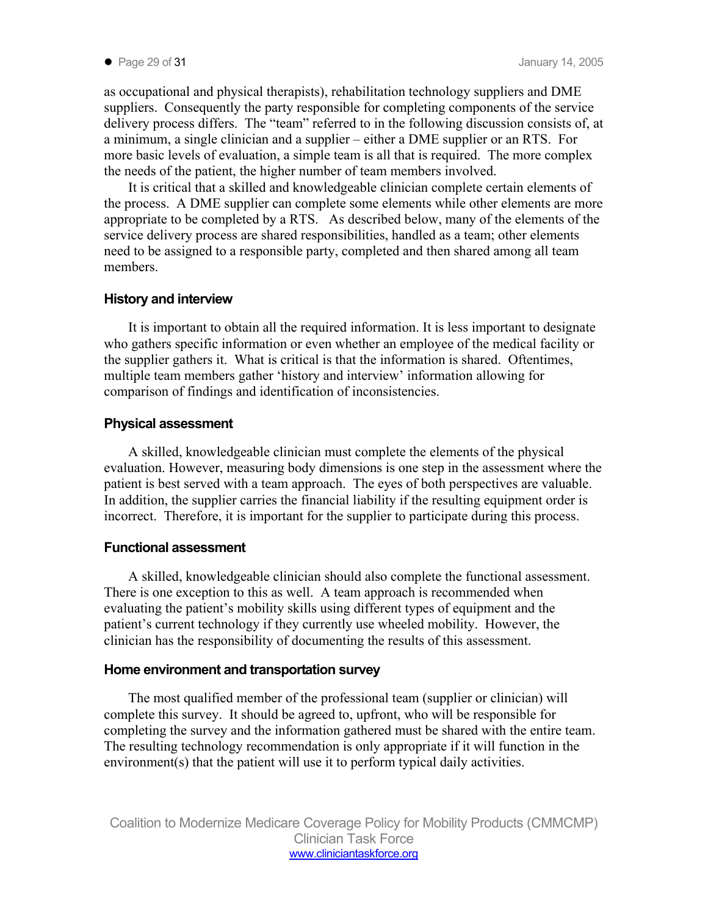as occupational and physical therapists), rehabilitation technology suppliers and DME suppliers. Consequently the party responsible for completing components of the service delivery process differs. The "team" referred to in the following discussion consists of, at a minimum, a single clinician and a supplier – either a DME supplier or an RTS. For more basic levels of evaluation, a simple team is all that is required. The more complex the needs of the patient, the higher number of team members involved.

It is critical that a skilled and knowledgeable clinician complete certain elements of the process. A DME supplier can complete some elements while other elements are more appropriate to be completed by a RTS. As described below, many of the elements of the service delivery process are shared responsibilities, handled as a team; other elements need to be assigned to a responsible party, completed and then shared among all team members.

### **History and interview**

It is important to obtain all the required information. It is less important to designate who gathers specific information or even whether an employee of the medical facility or the supplier gathers it. What is critical is that the information is shared. Oftentimes, multiple team members gather 'history and interview' information allowing for comparison of findings and identification of inconsistencies.

## **Physical assessment**

A skilled, knowledgeable clinician must complete the elements of the physical evaluation. However, measuring body dimensions is one step in the assessment where the patient is best served with a team approach. The eyes of both perspectives are valuable. In addition, the supplier carries the financial liability if the resulting equipment order is incorrect. Therefore, it is important for the supplier to participate during this process.

### **Functional assessment**

A skilled, knowledgeable clinician should also complete the functional assessment. There is one exception to this as well. A team approach is recommended when evaluating the patient's mobility skills using different types of equipment and the patient's current technology if they currently use wheeled mobility. However, the clinician has the responsibility of documenting the results of this assessment.

### **Home environment and transportation survey**

The most qualified member of the professional team (supplier or clinician) will complete this survey. It should be agreed to, upfront, who will be responsible for completing the survey and the information gathered must be shared with the entire team. The resulting technology recommendation is only appropriate if it will function in the environment(s) that the patient will use it to perform typical daily activities.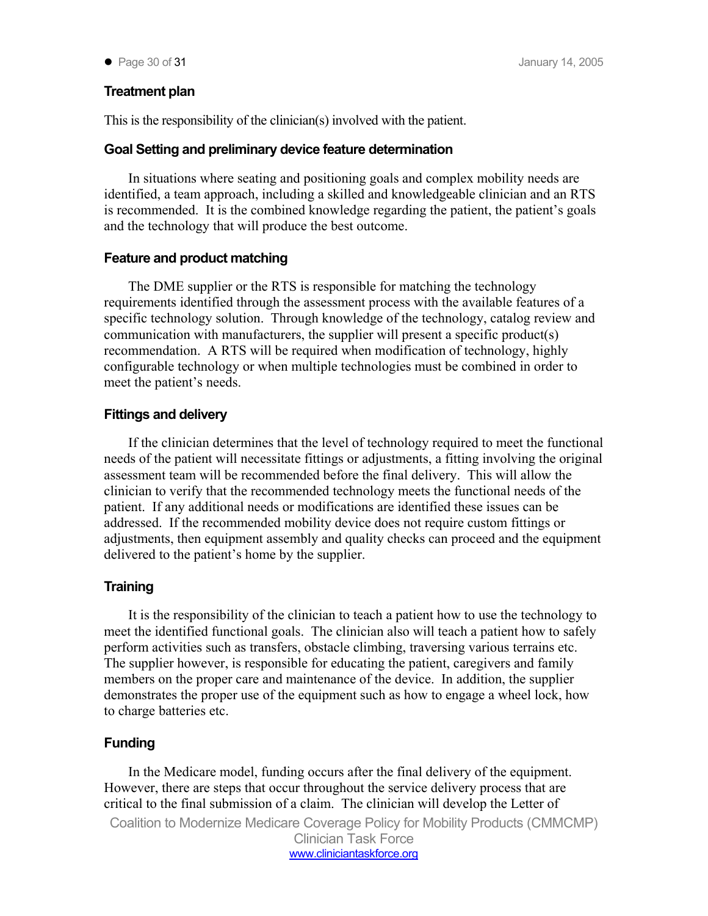● Page 30 of 31 January 14, 2005

## **Treatment plan**

This is the responsibility of the clinician(s) involved with the patient.

#### **Goal Setting and preliminary device feature determination**

In situations where seating and positioning goals and complex mobility needs are identified, a team approach, including a skilled and knowledgeable clinician and an RTS is recommended. It is the combined knowledge regarding the patient, the patient's goals and the technology that will produce the best outcome.

#### **Feature and product matching**

The DME supplier or the RTS is responsible for matching the technology requirements identified through the assessment process with the available features of a specific technology solution. Through knowledge of the technology, catalog review and communication with manufacturers, the supplier will present a specific product(s) recommendation. A RTS will be required when modification of technology, highly configurable technology or when multiple technologies must be combined in order to meet the patient's needs.

### **Fittings and delivery**

If the clinician determines that the level of technology required to meet the functional needs of the patient will necessitate fittings or adjustments, a fitting involving the original assessment team will be recommended before the final delivery. This will allow the clinician to verify that the recommended technology meets the functional needs of the patient. If any additional needs or modifications are identified these issues can be addressed. If the recommended mobility device does not require custom fittings or adjustments, then equipment assembly and quality checks can proceed and the equipment delivered to the patient's home by the supplier.

### **Training**

It is the responsibility of the clinician to teach a patient how to use the technology to meet the identified functional goals. The clinician also will teach a patient how to safely perform activities such as transfers, obstacle climbing, traversing various terrains etc. The supplier however, is responsible for educating the patient, caregivers and family members on the proper care and maintenance of the device. In addition, the supplier demonstrates the proper use of the equipment such as how to engage a wheel lock, how to charge batteries etc.

### **Funding**

In the Medicare model, funding occurs after the final delivery of the equipment. However, there are steps that occur throughout the service delivery process that are critical to the final submission of a claim. The clinician will develop the Letter of Coalition to Modernize Medicare Coverage Policy for Mobility Products (CMMCMP) Clinician Task Force www.cliniciantaskforce.org